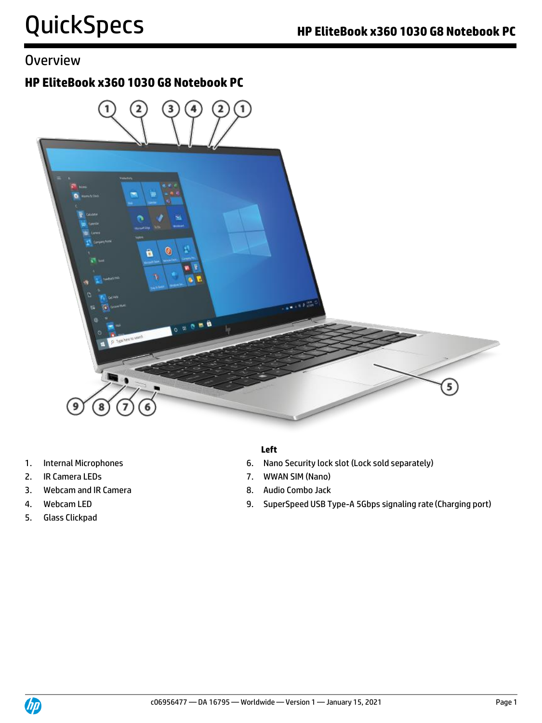### **Overview**

### **HP EliteBook x360 1030 G8 Notebook PC**



- 
- 
- 3. Webcam and IR Camera 8. Audio Combo Jack
- 
- 5. Glass Clickpad

#### **Left**

- 1. Internal Microphones 6. Nano Security lock slot (Lock sold separately)
- 2. IR Camera LEDs 2. IR Camera LEDS
	-
- 4. Webcam LED **19. SuperSpeed USB Type-A 5Gbps signaling rate (Charging port)**

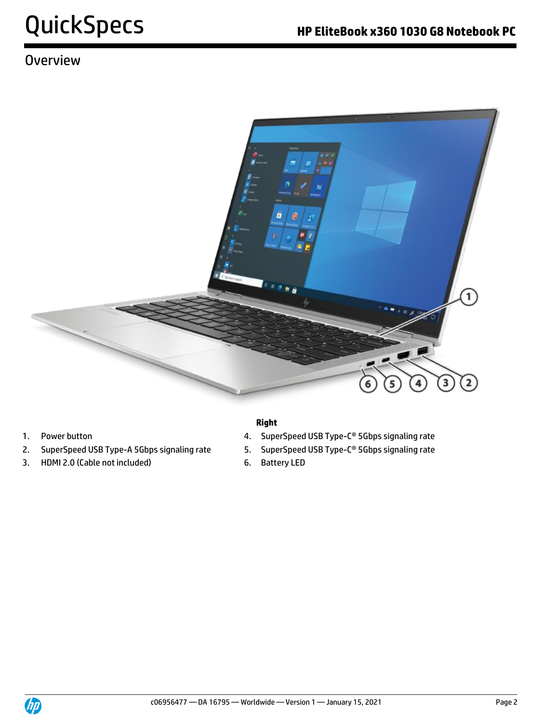# **Overview**



- 
- 2. SuperSpeed USB Type-A 5Gbps signaling rate 5. SuperSpeed USB Type-C® 5Gbps signaling rate
- 3. HDMI 2.0 (Cable not included) 6. Battery LED

#### **Right**

- 1. Power button **1. SuperSpeed USB Type-C<sup>®</sup> 5Gbps signaling rate** 
	-
	-

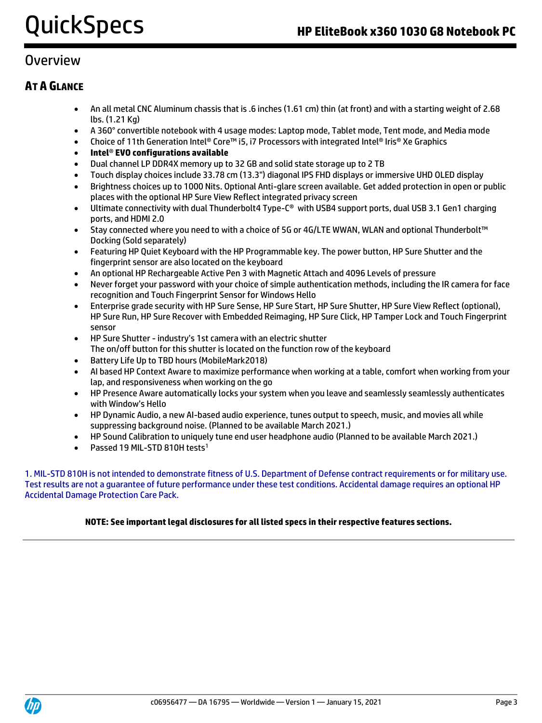### **Overview**

#### **AT A GLANCE**

- An all metal CNC Aluminum chassis that is .6 inches (1.61 cm) thin (at front) and with a starting weight of 2.68 lbs. (1.21 Kg)
- A 360° convertible notebook with 4 usage modes: Laptop mode, Tablet mode, Tent mode, and Media mode
- Choice of 11th Generation Intel® Core™ i5, i7 Processors with integrated Intel® Iris® Xe Graphics
- **Intel**® **EVO configurations available**
- Dual channel LP DDR4X memory up to 32 GB and solid state storage up to 2 TB
- Touch display choices include 33.78 cm (13.3") diagonal IPS FHD displays or immersive UHD OLED display
- Brightness choices up to 1000 Nits. Optional Anti-glare screen available. Get added protection in open or public places with the optional HP Sure View Reflect integrated privacy screen
- Ultimate connectivity with dual Thunderbolt4 Type-C® with USB4 support ports, dual USB 3.1 Gen1 charging ports, and HDMI 2.0
- Stay connected where you need to with a choice of 5G or 4G/LTE WWAN, WLAN and optional Thunderbolt™ Docking (Sold separately)
- Featuring HP Quiet Keyboard with the HP Programmable key. The power button, HP Sure Shutter and the fingerprint sensor are also located on the keyboard
- An optional HP Rechargeable Active Pen 3 with Magnetic Attach and 4096 Levels of pressure
- Never forget your password with your choice of simple authentication methods, including the IR camera for face recognition and Touch Fingerprint Sensor for Windows Hello
- Enterprise grade security with HP Sure Sense, HP Sure Start, HP Sure Shutter, HP Sure View Reflect (optional), HP Sure Run, HP Sure Recover with Embedded Reimaging, HP Sure Click, HP Tamper Lock and Touch Fingerprint sensor
- HP Sure Shutter industry's 1st camera with an electric shutter The on/off button for this shutter is located on the function row of the keyboard
- Battery Life Up to TBD hours (MobileMark2018)
- AI based HP Context Aware to maximize performance when working at a table, comfort when working from your lap, and responsiveness when working on the go
- HP Presence Aware automatically locks your system when you leave and seamlessly seamlessly authenticates with Window's Hello
- HP Dynamic Audio, a new AI-based audio experience, tunes output to speech, music, and movies all while suppressing background noise. (Planned to be available March 2021.)
- HP Sound Calibration to uniquely tune end user headphone audio (Planned to be available March 2021.)
- Passed 19 MIL-STD 810H tests<sup>1</sup>

1. MIL-STD 810H is not intended to demonstrate fitness of U.S. Department of Defense contract requirements or for military use. Test results are not a guarantee of future performance under these test conditions. Accidental damage requires an optional HP Accidental Damage Protection Care Pack.

#### **NOTE: See important legal disclosures for all listed specs in their respective features sections.**

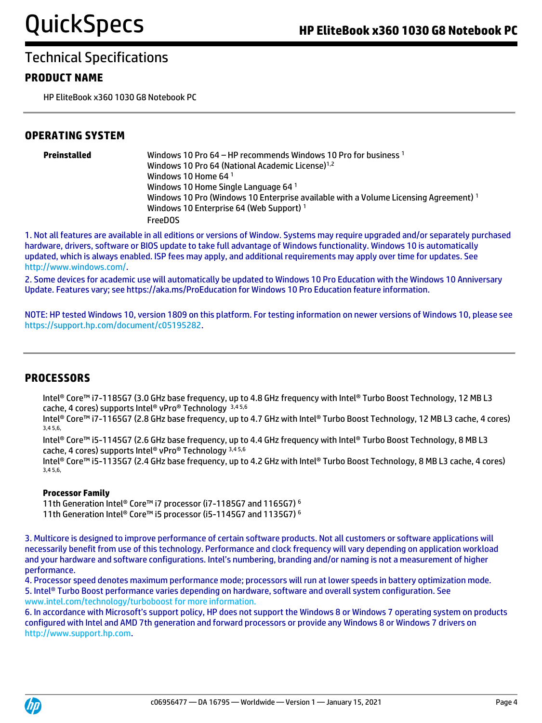#### **PRODUCT NAME**

HP EliteBook x360 1030 G8 Notebook PC

#### **OPERATING SYSTEM**

| Preinstalled | Windows 10 Pro 64 – HP recommends Windows 10 Pro for business $1$<br>Windows 10 Pro 64 (National Academic License) <sup>1,2</sup><br>Windows 10 Home 64 $1$<br>Windows 10 Home Single Language 64 <sup>1</sup><br>Windows 10 Pro (Windows 10 Enterprise available with a Volume Licensing Agreement) <sup>1</sup><br>Windows 10 Enterprise 64 (Web Support) <sup>1</sup><br><b>FreeDOS</b> |
|--------------|--------------------------------------------------------------------------------------------------------------------------------------------------------------------------------------------------------------------------------------------------------------------------------------------------------------------------------------------------------------------------------------------|
|              |                                                                                                                                                                                                                                                                                                                                                                                            |

1. Not all features are available in all editions or versions of Window. Systems may require upgraded and/or separately purchased hardware, drivers, software or BIOS update to take full advantage of Windows functionality. Windows 10 is automatically updated, which is always enabled. ISP fees may apply, and additional requirements may apply over time for updates. See [http://www.windows.com/.](http://www.windows.com/)

2. Some devices for academic use will automatically be updated to Windows 10 Pro Education with the Windows 10 Anniversary Update. Features vary; see https://aka.ms/ProEducation for Windows 10 Pro Education feature information.

NOTE: HP tested Windows 10, version 1809 on this platform. For testing information on newer versions of Windows 10, please see [https://support.hp.com/document/c05195282.](https://support.hp.com/document/c05195282)

#### **PROCESSORS**

Intel® Core™ i7-1185G7 (3.0 GHz base frequency, up to 4.8 GHz frequency with Intel® Turbo Boost Technology, 12 MB L3 cache, 4 cores) supports Intel® vPro® Technology 3,4 5,6

Intel® Core™ i7-1165G7 (2.8 GHz base frequency, up to 4.7 GHz with Intel® Turbo Boost Technology, 12 MB L3 cache, 4 cores) 3,4 5,6,

Intel® Core™ i5-1145G7 (2.6 GHz base frequency, up to 4.4 GHz frequency with Intel® Turbo Boost Technology, 8 MB L3 cache, 4 cores) supports Intel® vPro® Technology 3,4 5,6

Intel® Core™ i5-1135G7 (2.4 GHz base frequency, up to 4.2 GHz with Intel® Turbo Boost Technology, 8 MB L3 cache, 4 cores) 3,4 5,6,

#### **Processor Family**

11th Generation Intel® Core™ i7 processor (i7-1185G7 and 1165G7) <sup>6</sup> 11th Generation Intel® Core™ i5 processor (i5-1145G7 and 1135G7) <sup>6</sup>

3. Multicore is designed to improve performance of certain software products. Not all customers or software applications will necessarily benefit from use of this technology. Performance and clock frequency will vary depending on application workload and your hardware and software configurations. Intel's numbering, branding and/or naming is not a measurement of higher performance.

4. Processor speed denotes maximum performance mode; processors will run at lower speeds in battery optimization mode. 5. Intel® Turbo Boost performance varies depending on hardware, software and overall system configuration. See www.intel.com/technology/turboboost for more information.

6. In accordance with Microsoft's support policy, HP does not support the Windows 8 or Windows 7 operating system on products configured with Intel and AMD 7th generation and forward processors or provide any Windows 8 or Windows 7 drivers on http://www.support.hp.com.

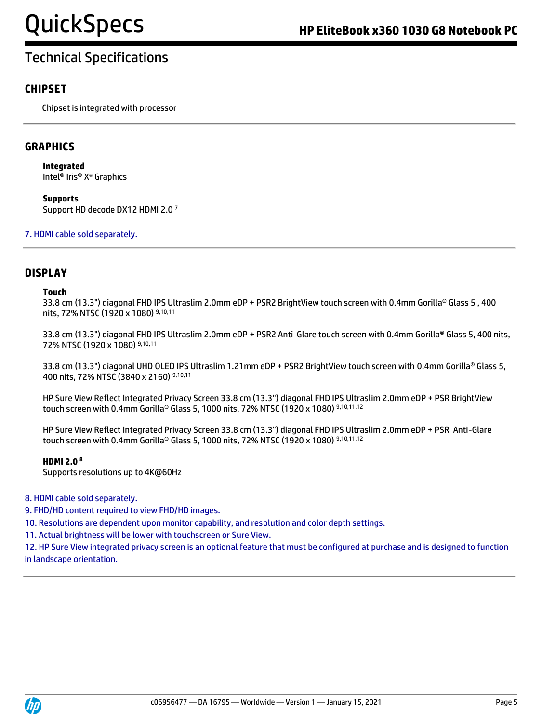#### **CHIPSET**

Chipset is integrated with processor

#### **GRAPHICS**

**Integrated** Intel® Iris® Xᵉ Graphics

**Supports** Support HD decode DX12 HDMI 2.0 <sup>7</sup>

7. HDMI cable sold separately.

#### **DISPLAY**

#### **Touch**

33.8 cm (13.3") diagonal FHD IPS Ultraslim 2.0mm eDP + PSR2 BrightView touch screen with 0.4mm Gorilla® Glass 5 , 400 nits, 72% NTSC (1920 x 1080) 9,10,11

33.8 cm (13.3") diagonal FHD IPS Ultraslim 2.0mm eDP + PSR2 Anti-Glare touch screen with 0.4mm Gorilla® Glass 5, 400 nits, 72% NTSC (1920 x 1080) 9,10,11

33.8 cm (13.3") diagonal UHD OLED IPS Ultraslim 1.21mm eDP + PSR2 BrightView touch screen with 0.4mm Gorilla® Glass 5, 400 nits, 72% NTSC (3840 x 2160) 9,10,11

HP Sure View Reflect Integrated Privacy Screen 33.8 cm (13.3") diagonal FHD IPS Ultraslim 2.0mm eDP + PSR BrightView touch screen with 0.4mm Gorilla® Glass 5, 1000 nits, 72% NTSC (1920 x 1080) 9,10,11,12

HP Sure View Reflect Integrated Privacy Screen 33.8 cm (13.3") diagonal FHD IPS Ultraslim 2.0mm eDP + PSR Anti-Glare touch screen with 0.4mm Gorilla® Glass 5, 1000 nits, 72% NTSC (1920 x 1080) 9,10,11,12

#### **HDMI 2.0 8**

Supports resolutions up to 4K@60Hz

8. HDMI cable sold separately.

9. FHD/HD content required to view FHD/HD images.

10. Resolutions are dependent upon monitor capability, and resolution and color depth settings.

11. Actual brightness will be lower with touchscreen or Sure View.

12. HP Sure View integrated privacy screen is an optional feature that must be configured at purchase and is designed to function in landscape orientation.

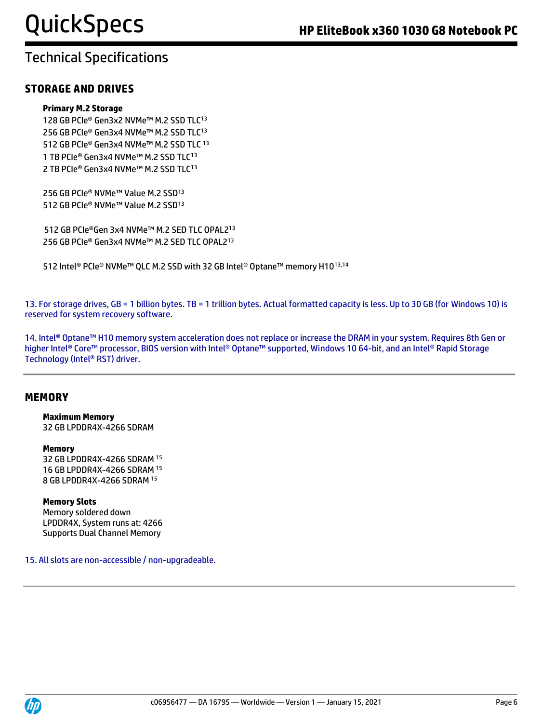#### **STORAGE AND DRIVES**

#### **Primary M.2 Storage**

128 GB PCIe® Gen3x2 NVMe™ M.2 SSD TLC<sup>13</sup> 256 GB PCIe® Gen3x4 NVMe™ M.2 SSD TLC<sup>13</sup> 512 GB PCIe® Gen3x4 NVMe™ M.2 SSD TLC <sup>13</sup> 1 TB PCIe® Gen3x4 NVMe™ M.2 SSD TLC<sup>13</sup> 2 TB PCIe® Gen3x4 NVMe™ M.2 SSD TLC<sup>13</sup>

256 GB PCIe® NVMe™ Value M.2 SSD<sup>13</sup> 512 GB PCIe® NVMe™ Value M.2 SSD<sup>13</sup>

512 GB PCIe®Gen 3x4 NVMe™ M.2 SED TLC OPAL2<sup>13</sup> 256 GB PCIe® Gen3x4 NVMe™ M.2 SED TLC OPAL2<sup>13</sup>

512 Intel® PCIe® NVMe™ QLC M.2 SSD with 32 GB Intel® Optane™ memory H1013,14

13. For storage drives, GB = 1 billion bytes. TB = 1 trillion bytes. Actual formatted capacity is less. Up to 30 GB (for Windows 10) is reserved for system recovery software.

14. Intel® Optane™ H10 memory system acceleration does not replace or increase the DRAM in your system. Requires 8th Gen or higher Intel® Core™ processor, BIOS version with Intel® Optane™ supported, Windows 10 64-bit, and an Intel® Rapid Storage Technology (Intel® RST) driver.

#### **MEMORY**

#### **Maximum Memory**

32 GB LPDDR4X-4266 SDRAM

#### **Memory**

32 GB LPDDR4X-4266 SDRAM <sup>15</sup> 16 GB LPDDR4X-4266 SDRAM <sup>15</sup> 8 GB LPDDR4X-4266 SDRAM <sup>15</sup>

#### **Memory Slots**

Memory soldered down LPDDR4X, System runs at: 4266 Supports Dual Channel Memory

15. All slots are non-accessible / non-upgradeable.

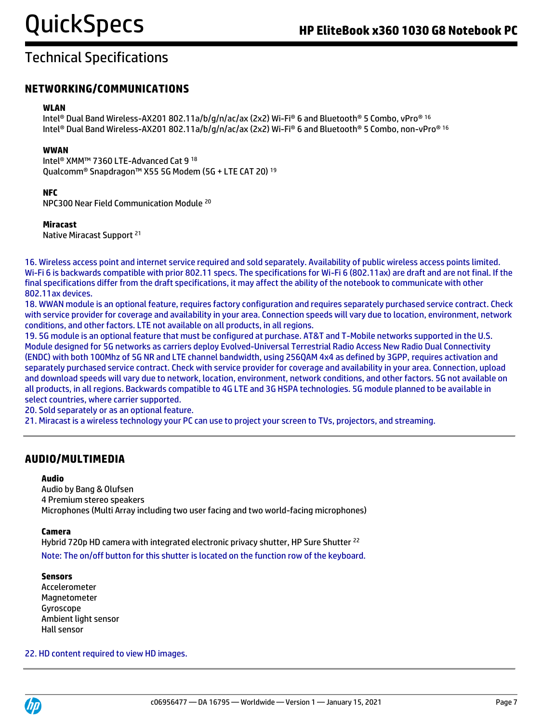#### **NETWORKING/COMMUNICATIONS**

#### **WLAN**

Intel® Dual Band Wireless-AX201 802.11a/b/g/n/ac/ax (2x2) Wi-Fi® 6 and Bluetooth® 5 Combo, vPro® 16 Intel® Dual Band Wireless-AX201 802.11a/b/g/n/ac/ax (2x2) Wi-Fi® 6 and Bluetooth® 5 Combo, non-vPro® 16

#### **WWAN**

Intel® XMM™ 7360 LTE-Advanced Cat 9 <sup>18</sup> Qualcomm® Snapdragon™ X55 5G Modem (5G + LTE CAT 20) <sup>19</sup>

#### **NFC**

NPC300 Near Field Communication Module <sup>20</sup>

#### **Miracast**

Native Miracast Support <sup>21</sup>

16. Wireless access point and internet service required and sold separately. Availability of public wireless access points limited. Wi-Fi 6 is backwards compatible with prior 802.11 specs. The specifications for Wi-Fi 6 (802.11ax) are draft and are not final. If the final specifications differ from the draft specifications, it may affect the ability of the notebook to communicate with other 802.11ax devices.

18. WWAN module is an optional feature, requires factory configuration and requires separately purchased service contract. Check with service provider for coverage and availability in your area. Connection speeds will vary due to location, environment, network conditions, and other factors. LTE not available on all products, in all regions.

19. 5G module is an optional feature that must be configured at purchase. AT&T and T-Mobile networks supported in the U.S. Module designed for 5G networks as carriers deploy Evolved-Universal Terrestrial Radio Access New Radio Dual Connectivity (ENDC) with both 100Mhz of 5G NR and LTE channel bandwidth, using 256QAM 4x4 as defined by 3GPP, requires activation and separately purchased service contract. Check with service provider for coverage and availability in your area. Connection, upload and download speeds will vary due to network, location, environment, network conditions, and other factors. 5G not available on all products, in all regions. Backwards compatible to 4G LTE and 3G HSPA technologies. 5G module planned to be available in select countries, where carrier supported.

20. Sold separately or as an optional feature.

21. Miracast is a wireless technology your PC can use to project your screen to TVs, projectors, and streaming.

#### **AUDIO/MULTIMEDIA**

#### **Audio**

Audio by Bang & Olufsen 4 Premium stereo speakers Microphones (Multi Array including two user facing and two world-facing microphones)

#### **Camera**

Hybrid 720p HD camera with integrated electronic privacy shutter, HP Sure Shutter <sup>22</sup> Note: The on/off button for this shutter is located on the function row of the keyboard.

#### **Sensors**

Accelerometer Magnetometer Gyroscope Ambient light sensor Hall sensor

#### 22. HD content required to view HD images.

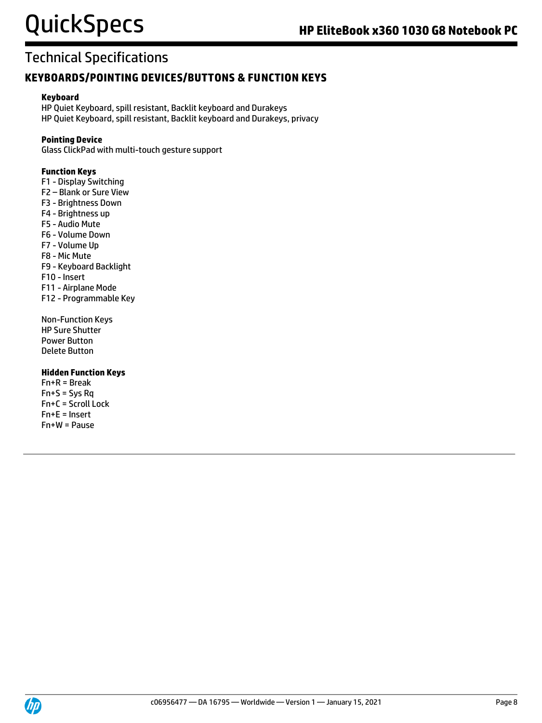#### **KEYBOARDS/POINTING DEVICES/BUTTONS & FUNCTION KEYS**

#### **Keyboard**

HP Quiet Keyboard, spill resistant, Backlit keyboard and Durakeys HP Quiet Keyboard, spill resistant, Backlit keyboard and Durakeys, privacy

#### **Pointing Device**

Glass ClickPad with multi-touch gesture support

#### **Function Keys**

- F1 Display Switching
- F2 Blank or Sure View
- F3 Brightness Down
- F4 Brightness up
- F5 Audio Mute
- F6 Volume Down
- F7 Volume Up
- F8 Mic Mute
- F9 Keyboard Backlight
- F10 Insert
- F11 Airplane Mode
- F12 Programmable Key
- Non-Function Keys HP Sure Shutter Power Button Delete Button

#### **Hidden Function Keys**

Fn+R = Break  $Fn+S = Sys Rq$ Fn+C = Scroll Lock Fn+E = Insert Fn+W = Pause

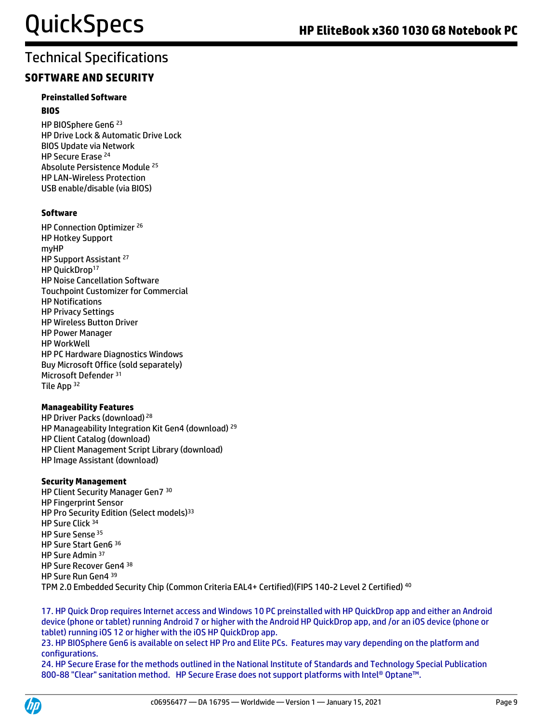#### **SOFTWARE AND SECURITY**

#### **Preinstalled Software BIOS**

HP BIOSphere Gen6 <sup>23</sup> HP Drive Lock & Automatic Drive Lock BIOS Update via Network HP Secure Erase <sup>24</sup> Absolute Persistence Module <sup>25</sup> HP LAN-Wireless Protection USB enable/disable (via BIOS)

#### **Software**

HP Connection Optimizer <sup>26</sup> HP Hotkey Support myHP HP Support Assistant <sup>27</sup> HP OuickDrop<sup>17</sup> HP Noise Cancellation Software Touchpoint Customizer for Commercial HP Notifications HP Privacy Settings HP Wireless Button Driver HP Power Manager HP WorkWell HP PC Hardware Diagnostics Windows Buy Microsoft Office (sold separately) Microsoft Defender <sup>31</sup> Tile App <sup>32</sup>

#### **Manageability Features**

HP Driver Packs (download) <sup>28</sup> HP Manageability Integration Kit Gen4 (download) <sup>29</sup> HP Client Catalog (download) HP Client Management Script Library (download) HP Image Assistant (download)

#### **Security Management**

HP Client Security Manager Gen7 30 HP Fingerprint Sensor HP Pro Security Edition (Select models)<sup>33</sup> HP Sure Click <sup>34</sup> HP Sure Sense <sup>35</sup> HP Sure Start Gen6 <sup>36</sup> HP Sure Admin <sup>37</sup> HP Sure Recover Gen4 38 HP Sure Run Gen4 39 TPM 2.0 Embedded Security Chip (Common Criteria EAL4+ Certified)(FIPS 140-2 Level 2 Certified) <sup>40</sup>

17. HP Quick Drop requires Internet access and Windows 10 PC preinstalled with HP QuickDrop app and either an Android device (phone or tablet) running Android 7 or higher with the Android HP QuickDrop app, and /or an iOS device (phone or tablet) running iOS 12 or higher with the iOS HP QuickDrop app.

23. HP BIOSphere Gen6 is available on select HP Pro and Elite PCs. Features may vary depending on the platform and configurations.

24. HP Secure Erase for the methods outlined in the National Institute of Standards and Technology Special Publication 800-88 "Clear" sanitation method. HP Secure Erase does not support platforms with Intel® Optane™.

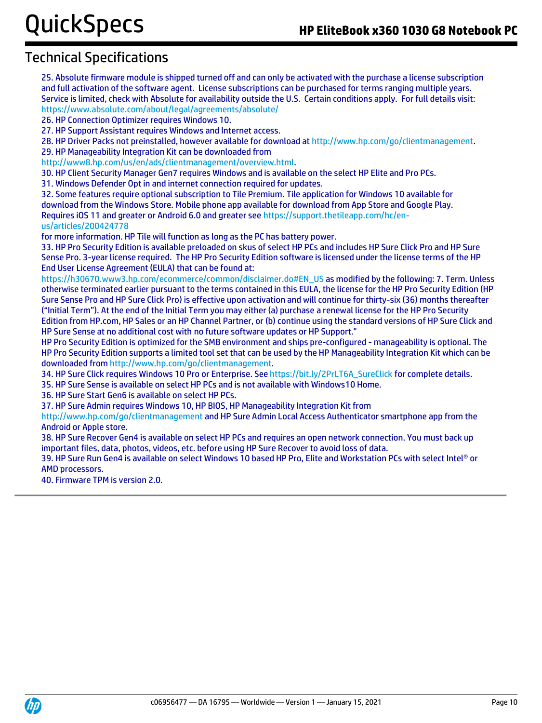25. Absolute firmware module is shipped turned off and can only be activated with the purchase a license subscription and full activation of the software agent. License subscriptions can be purchased for terms ranging multiple years. Service is limited, check with Absolute for availability outside the U.S. Certain conditions apply. For full details visit: <https://www.absolute.com/about/legal/agreements/absolute/>

26. HP Connection Optimizer requires Windows 10.

27. HP Support Assistant requires Windows and Internet access.

28. HP Driver Packs not preinstalled, however available for download at [http://www.hp.com/go/clientmanagement.](http://www.hp.com/go/clientmanagement) 29. HP Manageability Integration Kit can be downloaded from

[http://www8.hp.com/us/en/ads/clientmanagement/overview.html.](http://www8.hp.com/us/en/ads/clientmanagement/overview.html)

30. HP Client Security Manager Gen7 requires Windows and is available on the select HP Elite and Pro PCs.

31. Windows Defender Opt in and internet connection required for updates.

32. Some features require optional subscription to Tile Premium. Tile application for Windows 10 available for download from the Windows Store. Mobile phone app available for download from App Store and Google Play. Requires iOS 11 and greater or Android 6.0 and greater see https://support.thetileapp.com/hc/enus/articles/200424778

for more information. HP Tile will function as long as the PC has battery power.

33. HP Pro Security Edition is available preloaded on skus of select HP PCs and includes HP Sure Click Pro and HP Sure Sense Pro. 3-year license required. The HP Pro Security Edition software is licensed under the license terms of the HP End User License Agreement (EULA) that can be found at:

[https://h30670.www3.hp.com/ecommerce/common/disclaimer.do#EN\\_US](https://h30670.www3.hp.com/ecommerce/common/disclaimer.do#EN_US) as modified by the following: 7. Term. Unless otherwise terminated earlier pursuant to the terms contained in this EULA, the license for the HP Pro Security Edition (HP Sure Sense Pro and HP Sure Click Pro) is effective upon activation and will continue for thirty-six (36) months thereafter ("Initial Term"). At the end of the Initial Term you may either (a) purchase a renewal license for the HP Pro Security Edition from HP.com, HP Sales or an HP Channel Partner, or (b) continue using the standard versions of HP Sure Click and HP Sure Sense at no additional cost with no future software updates or HP Support."

HP Pro Security Edition is optimized for the SMB environment and ships pre-configured - manageability is optional. The HP Pro Security Edition supports a limited tool set that can be used by the HP Manageability Integration Kit which can be downloaded fro[m http://www.hp.com/go/clientmanagement.](http://www.hp.com/go/clientmanagement)

34. HP Sure Click requires Windows 10 Pro or Enterprise. See [https://bit.ly/2PrLT6A\\_SureClick](https://bit.ly/2PrLT6A_SureClick) for complete details.

35. HP Sure Sense is available on select HP PCs and is not available with Windows10 Home.

36. HP Sure Start Gen6 is available on select HP PCs.

37. HP Sure Admin requires Windows 10, HP BIOS, HP Manageability Integration Kit from

<http://www.hp.com/go/clientmanagement> and HP Sure Admin Local Access Authenticator smartphone app from the Android or Apple store.

38. HP Sure Recover Gen4 is available on select HP PCs and requires an open network connection. You must back up important files, data, photos, videos, etc. before using HP Sure Recover to avoid loss of data.

39. HP Sure Run Gen4 is available on select Windows 10 based HP Pro, Elite and Workstation PCs with select Intel® or AMD processors.

40. Firmware TPM is version 2.0.

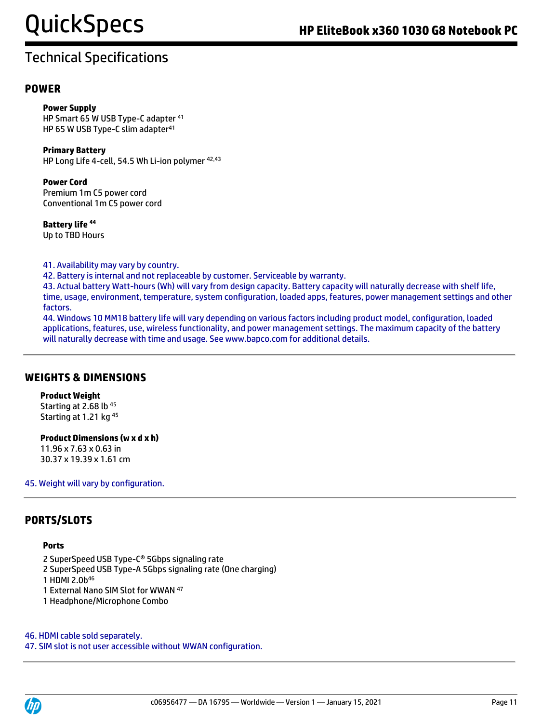#### **POWER**

**Power Supply** HP Smart 65 W USB Type-C adapter <sup>41</sup> HP 65 W USB Type-C slim adapter<sup>41</sup>

**Primary Battery**  HP Long Life 4-cell, 54.5 Wh Li-ion polymer <sup>42,43</sup>

**Power Cord** Premium 1m C5 power cord Conventional 1m C5 power cord

**Battery life <sup>44</sup>** Up to TBD Hours

41. Availability may vary by country.

42. Battery is internal and not replaceable by customer. Serviceable by warranty.

43. Actual battery Watt-hours (Wh) will vary from design capacity. Battery capacity will naturally decrease with shelf life, time, usage, environment, temperature, system configuration, loaded apps, features, power management settings and other factors.

44. Windows 10 MM18 battery life will vary depending on various factors including product model, configuration, loaded applications, features, use, wireless functionality, and power management settings. The maximum capacity of the battery will naturally decrease with time and usage. See www.bapco.com for additional details.

#### **WEIGHTS & DIMENSIONS**

**Product Weight** Starting at 2.68 lb<sup>45</sup>

Starting at 1.21 kg <sup>45</sup>

**Product Dimensions (w x d x h)**

11.96 x 7.63 x 0.63 in 30.37 x 19.39 x 1.61 cm

45. Weight will vary by configuration.

#### **PORTS/SLOTS**

#### **Ports**

2 SuperSpeed USB Type-C® 5Gbps signaling rate

2 SuperSpeed USB Type-A 5Gbps signaling rate (One charging)

1 HDMI 2.0b 46

1 External Nano SIM Slot for WWAN <sup>47</sup>

1 Headphone/Microphone Combo

46. HDMI cable sold separately.

47. SIM slot is not user accessible without WWAN configuration.

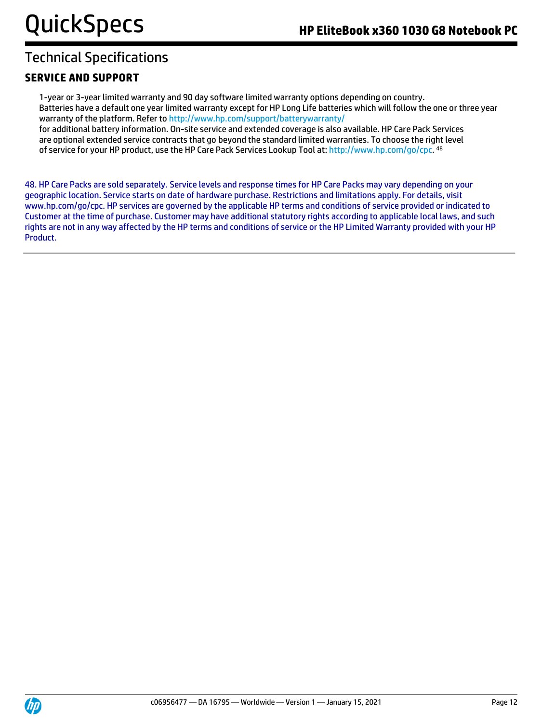#### **SERVICE AND SUPPORT**

1-year or 3-year limited warranty and 90 day software limited warranty options depending on country. Batteries have a default one year limited warranty except for HP Long Life batteries which will follow the one or three year warranty of the platform. Refer t[o http://www.hp.com/support/batterywarranty/](http://www.hp.com/support/batterywarranty/) for additional battery information. On-site service and extended coverage is also available. HP Care Pack Services are optional extended service contracts that go beyond the standard limited warranties. To choose the right level of service for your HP product, use the HP Care Pack Services Lookup Tool at[: http://www.hp.com/go/cpc.](http://www.hp.com/go/cpc) <sup>48</sup>

48. HP Care Packs are sold separately. Service levels and response times for HP Care Packs may vary depending on your geographic location. Service starts on date of hardware purchase. Restrictions and limitations apply. For details, visit www.hp.com/go/cpc. HP services are governed by the applicable HP terms and conditions of service provided or indicated to Customer at the time of purchase. Customer may have additional statutory rights according to applicable local laws, and such rights are not in any way affected by the HP terms and conditions of service or the HP Limited Warranty provided with your HP Product.

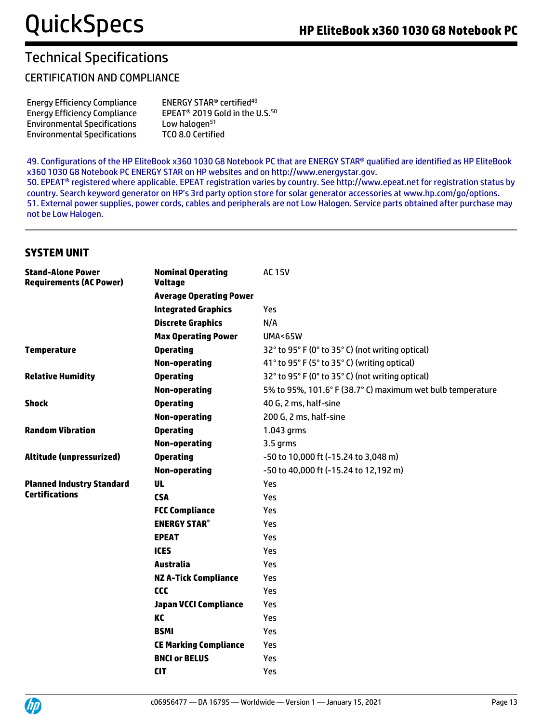#### CERTIFICATION AND COMPLIANCE

| <b>Energy Efficiency Compliance</b> |
|-------------------------------------|
| <b>Energy Efficiency Compliance</b> |
| <b>Environmental Specifications</b> |
| <b>Environmental Specifications</b> |

ENERGY STAR® certified<sup>49</sup> EPEAT® 2019 Gold in the U.S.<sup>50</sup> Low halogen<sup>51</sup> TCO 8.0 Certified

49. Configurations of the HP EliteBook x360 1030 G8 Notebook PC that are ENERGY STAR® qualified are identified as HP EliteBook x360 1030 G8 Notebook PC ENERGY STAR on HP websites and on http://www.energystar.gov.

50. EPEAT® registered where applicable. EPEAT registration varies by country. See http://www.epeat.net for registration status by country. Search keyword generator on HP's 3rd party option store for solar generator accessories at www.hp.com/go/options. 51. External power supplies, power cords, cables and peripherals are not Low Halogen. Service parts obtained after purchase may not be Low Halogen.

#### **SYSTEM UNIT**

| <b>Stand-Alone Power</b><br><b>Requirements (AC Power)</b> | <b>Nominal Operating</b><br><b>Voltage</b> | <b>AC 15V</b>                                              |
|------------------------------------------------------------|--------------------------------------------|------------------------------------------------------------|
|                                                            | <b>Average Operating Power</b>             |                                                            |
|                                                            | <b>Integrated Graphics</b>                 | Yes                                                        |
|                                                            | <b>Discrete Graphics</b>                   | N/A                                                        |
|                                                            | <b>Max Operating Power</b>                 | <b>UMA&lt;65W</b>                                          |
| <b>Temperature</b>                                         | <b>Operating</b>                           | 32° to 95° F (0° to 35° C) (not writing optical)           |
|                                                            | <b>Non-operating</b>                       | 41° to 95° F (5° to 35° C) (writing optical)               |
| <b>Relative Humidity</b>                                   | <b>Operating</b>                           | 32° to 95° F (0° to 35° C) (not writing optical)           |
|                                                            | <b>Non-operating</b>                       | 5% to 95%, 101.6° F (38.7° C) maximum wet bulb temperature |
| <b>Shock</b>                                               | <b>Operating</b>                           | 40 G, 2 ms, half-sine                                      |
|                                                            | <b>Non-operating</b>                       | 200 G, 2 ms, half-sine                                     |
| <b>Random Vibration</b>                                    | <b>Operating</b>                           | 1.043 grms                                                 |
|                                                            | <b>Non-operating</b>                       | 3.5 grms                                                   |
| Altitude (unpressurized)                                   | <b>Operating</b>                           | -50 to 10,000 ft (-15.24 to 3,048 m)                       |
|                                                            | <b>Non-operating</b>                       | -50 to 40,000 ft (-15.24 to 12,192 m)                      |
| <b>Planned Industry Standard</b>                           | UL                                         | Yes                                                        |
| <b>Certifications</b>                                      | <b>CSA</b>                                 | Yes                                                        |
|                                                            | <b>FCC Compliance</b>                      | Yes                                                        |
|                                                            | <b>ENERGY STAR®</b>                        | Yes                                                        |
|                                                            | <b>EPEAT</b>                               | Yes                                                        |
|                                                            | <b>ICES</b>                                | Yes                                                        |
|                                                            | Australia                                  | Yes                                                        |
|                                                            | <b>NZ A-Tick Compliance</b>                | Yes                                                        |
|                                                            | <b>CCC</b>                                 | Yes                                                        |
|                                                            | <b>Japan VCCI Compliance</b>               | Yes                                                        |
|                                                            | KC                                         | Yes                                                        |
|                                                            | <b>BSMI</b>                                | Yes                                                        |
|                                                            | <b>CE Marking Compliance</b>               | Yes                                                        |
|                                                            | <b>BNCI or BELUS</b>                       | Yes                                                        |
|                                                            | <b>CIT</b>                                 | Yes                                                        |

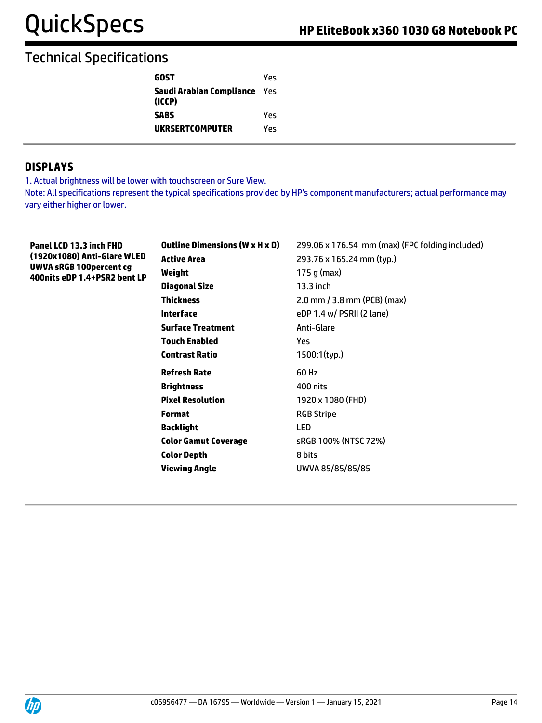| GOST                                          | Yes |
|-----------------------------------------------|-----|
| <b>Saudi Arabian Compliance</b> Yes<br>(ICCP) |     |
| <b>SABS</b>                                   | Yes |
| UKRSERTCOMPUTER                               | Υρς |

#### **DISPLAYS**

1. Actual brightness will be lower with touchscreen or Sure View.

Note: All specifications represent the typical specifications provided by HP's component manufacturers; actual performance may vary either higher or lower.

| Panel LCD 13.3 inch FHD<br>(1920x1080) Anti-Glare WLED<br><b>UWVA sRGB 100percent cg</b><br>400nits eDP 1.4+PSR2 bent LP | <b>Outline Dimensions (W x H x D)</b> | 299.06 x 176.54 mm (max) (FPC folding included) |
|--------------------------------------------------------------------------------------------------------------------------|---------------------------------------|-------------------------------------------------|
|                                                                                                                          | <b>Active Area</b>                    | 293.76 x 165.24 mm (typ.)                       |
|                                                                                                                          | Weight                                | 175 g (max)                                     |
|                                                                                                                          | <b>Diagonal Size</b>                  | $13.3$ inch                                     |
|                                                                                                                          | <b>Thickness</b>                      | $2.0$ mm $/$ 3.8 mm (PCB) (max)                 |
|                                                                                                                          | <b>Interface</b>                      | eDP 1.4 w/ PSRII (2 lane)                       |
|                                                                                                                          | <b>Surface Treatment</b>              | Anti-Glare                                      |
|                                                                                                                          | <b>Touch Enabled</b>                  | Yes.                                            |
|                                                                                                                          | <b>Contrast Ratio</b>                 | 1500:1(typ.)                                    |
|                                                                                                                          | <b>Refresh Rate</b>                   | 60 Hz                                           |
|                                                                                                                          | <b>Brightness</b>                     | 400 nits                                        |
|                                                                                                                          | <b>Pixel Resolution</b>               | 1920 x 1080 (FHD)                               |
|                                                                                                                          | <b>Format</b>                         | <b>RGB Stripe</b>                               |
|                                                                                                                          | <b>Backlight</b>                      | <b>LED</b>                                      |
|                                                                                                                          | <b>Color Gamut Coverage</b>           | sRGB 100% (NTSC 72%)                            |
|                                                                                                                          | <b>Color Depth</b>                    | 8 bits                                          |
|                                                                                                                          | <b>Viewing Angle</b>                  | UWVA 85/85/85/85                                |
|                                                                                                                          |                                       |                                                 |
|                                                                                                                          |                                       |                                                 |

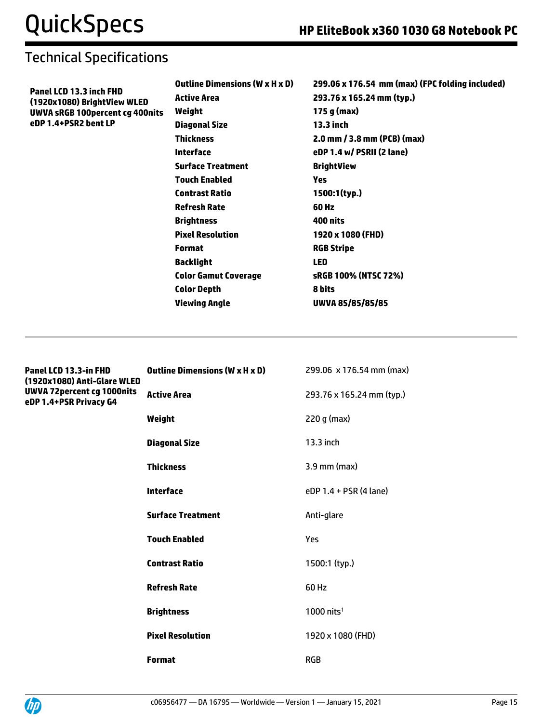| Panel LCD 13.3 inch FHD<br>293.76 x 165.24 mm (typ.)<br><b>Active Area</b><br>(1920x1080) BrightView WLED<br>175 g (max)<br>Weight<br><b>UWVA sRGB 100percent cg 400nits</b><br>eDP 1.4+PSR2 bent LP<br><b>13.3 inch</b><br><b>Diagonal Size</b> | 299.06 x 176.54 mm (max) (FPC folding included) |
|--------------------------------------------------------------------------------------------------------------------------------------------------------------------------------------------------------------------------------------------------|-------------------------------------------------|
|                                                                                                                                                                                                                                                  |                                                 |
|                                                                                                                                                                                                                                                  |                                                 |
|                                                                                                                                                                                                                                                  |                                                 |
| <b>Thickness</b><br>2.0 mm / 3.8 mm (PCB) (max)                                                                                                                                                                                                  |                                                 |
| <b>Interface</b><br>eDP 1.4 w/ PSRII (2 lane)                                                                                                                                                                                                    |                                                 |
| <b>Surface Treatment</b><br><b>BrightView</b>                                                                                                                                                                                                    |                                                 |
| <b>Touch Enabled</b><br><b>Yes</b>                                                                                                                                                                                                               |                                                 |
| 1500:1(typ.)<br><b>Contrast Ratio</b>                                                                                                                                                                                                            |                                                 |
| <b>Refresh Rate</b><br>60 Hz                                                                                                                                                                                                                     |                                                 |
| <b>Brightness</b><br>400 nits                                                                                                                                                                                                                    |                                                 |
| <b>Pixel Resolution</b><br>1920 x 1080 (FHD)                                                                                                                                                                                                     |                                                 |
| <b>RGB Stripe</b><br><b>Format</b>                                                                                                                                                                                                               |                                                 |
| <b>Backlight</b><br><b>LED</b>                                                                                                                                                                                                                   |                                                 |
| <b>Color Gamut Coverage</b><br>sRGB 100% (NTSC 72%)                                                                                                                                                                                              |                                                 |
| <b>Color Depth</b><br>8 bits                                                                                                                                                                                                                     |                                                 |
| <b>Viewing Angle</b><br>UWVA 85/85/85/85                                                                                                                                                                                                         |                                                 |
|                                                                                                                                                                                                                                                  |                                                 |
|                                                                                                                                                                                                                                                  |                                                 |
|                                                                                                                                                                                                                                                  |                                                 |

| Panel LCD 13.3-in FHD<br>(1920x1080) Anti-Glare WLED<br>UWVA 72percent cg 1000nits<br>eDP 1.4+PSR Privacy G4 | <b>Outline Dimensions (W x H x D)</b> | 299.06 x 176.54 mm (max)  |
|--------------------------------------------------------------------------------------------------------------|---------------------------------------|---------------------------|
|                                                                                                              | <b>Active Area</b>                    | 293.76 x 165.24 mm (typ.) |
|                                                                                                              | Weight                                | 220 g (max)               |
|                                                                                                              | <b>Diagonal Size</b>                  | 13.3 inch                 |
|                                                                                                              | <b>Thickness</b>                      | 3.9 mm (max)              |
|                                                                                                              | <b>Interface</b>                      | eDP 1.4 + PSR (4 lane)    |
|                                                                                                              | <b>Surface Treatment</b>              | Anti-glare                |
|                                                                                                              | <b>Touch Enabled</b>                  | Yes                       |
|                                                                                                              | <b>Contrast Ratio</b>                 | 1500:1 (typ.)             |
|                                                                                                              | <b>Refresh Rate</b>                   | 60 Hz                     |
|                                                                                                              | <b>Brightness</b>                     | $1000$ nits <sup>1</sup>  |
|                                                                                                              | <b>Pixel Resolution</b>               | 1920 x 1080 (FHD)         |
|                                                                                                              | <b>Format</b>                         | <b>RGB</b>                |

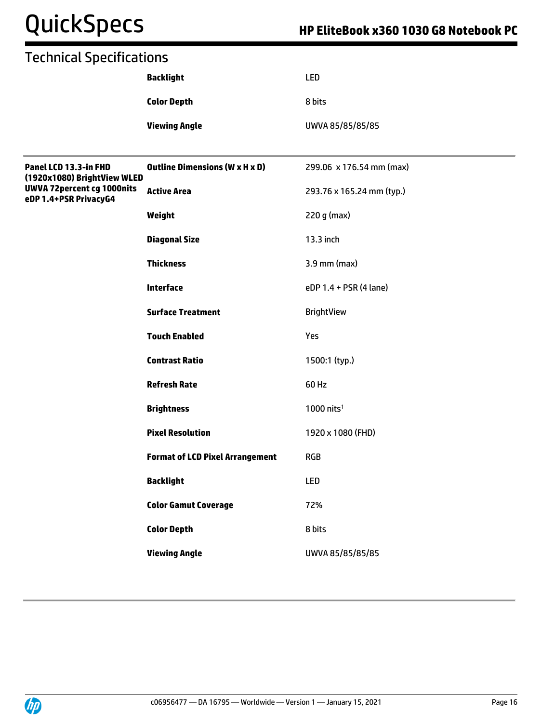# QuickSpecs **HP EliteBook x360 1030 G8 Notebook PC**

|                                                      | <b>Backlight</b>                       | <b>LED</b>                |
|------------------------------------------------------|----------------------------------------|---------------------------|
|                                                      | <b>Color Depth</b>                     | 8 bits                    |
|                                                      | <b>Viewing Angle</b>                   | UWVA 85/85/85/85          |
|                                                      |                                        |                           |
| Panel LCD 13.3-in FHD<br>(1920x1080) BrightView WLED | <b>Outline Dimensions (W x H x D)</b>  | 299.06 x 176.54 mm (max)  |
| UWVA 72percent cg 1000nits<br>eDP 1.4+PSR PrivacyG4  | <b>Active Area</b>                     | 293.76 x 165.24 mm (typ.) |
|                                                      | Weight                                 | 220 g (max)               |
|                                                      | <b>Diagonal Size</b>                   | 13.3 inch                 |
|                                                      | <b>Thickness</b>                       | 3.9 mm (max)              |
|                                                      | Interface                              | eDP 1.4 + PSR (4 lane)    |
|                                                      | <b>Surface Treatment</b>               | <b>BrightView</b>         |
|                                                      | <b>Touch Enabled</b>                   | Yes                       |
|                                                      | <b>Contrast Ratio</b>                  | 1500:1 (typ.)             |
|                                                      | <b>Refresh Rate</b>                    | 60 Hz                     |
|                                                      | <b>Brightness</b>                      | $1000$ nits <sup>1</sup>  |
|                                                      | <b>Pixel Resolution</b>                | 1920 x 1080 (FHD)         |
|                                                      | <b>Format of LCD Pixel Arrangement</b> | <b>RGB</b>                |
|                                                      | <b>Backlight</b>                       | LED                       |
|                                                      | <b>Color Gamut Coverage</b>            | 72%                       |
|                                                      | <b>Color Depth</b>                     | 8 bits                    |
|                                                      | <b>Viewing Angle</b>                   | UWVA 85/85/85/85          |
|                                                      |                                        |                           |

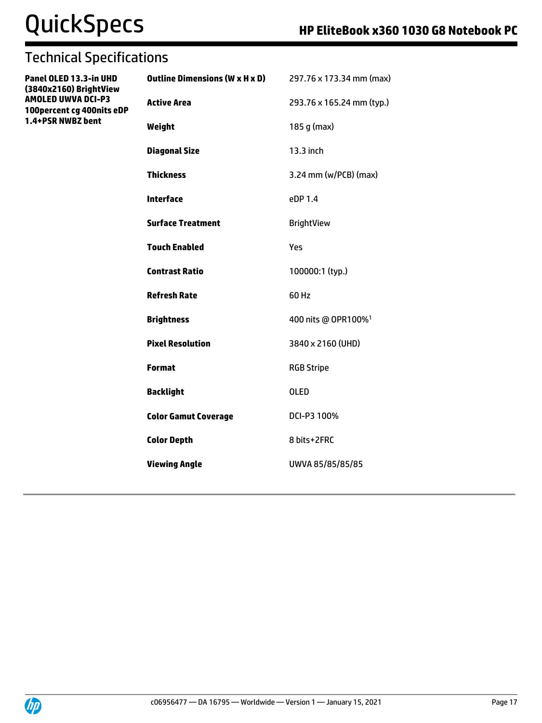# QuickSpecs **HP EliteBook x360 1030 G8 Notebook PC**

**Panel OLED 13.3-in UHD (3840x2160) BrightView AMOLED UWVA DCI-P3 100percent cg 400nits eDP 1.4+PSR NWBZ bent**

| <b>Outline Dimensions (W x H x D)</b> | 297.76 x 173.34 mm (max)        |
|---------------------------------------|---------------------------------|
| <b>Active Area</b>                    | 293.76 x 165.24 mm (typ.)       |
| Weight                                | 185 g (max)                     |
| <b>Diagonal Size</b>                  | 13.3 inch                       |
| <b>Thickness</b>                      | $3.24$ mm (w/PCB) (max)         |
| <b>Interface</b>                      | eDP 1.4                         |
| <b>Surface Treatment</b>              | <b>BrightView</b>               |
| <b>Touch Enabled</b>                  | Yes                             |
| <b>Contrast Ratio</b>                 | 100000:1 (typ.)                 |
| <b>Refresh Rate</b>                   | 60 Hz                           |
| <b>Brightness</b>                     | 400 nits @ OPR100% <sup>1</sup> |
| <b>Pixel Resolution</b>               | 3840 x 2160 (UHD)               |
| <b>Format</b>                         | <b>RGB Stripe</b>               |
| <b>Backlight</b>                      | <b>OLED</b>                     |
| <b>Color Gamut Coverage</b>           | DCI-P3 100%                     |
| <b>Color Depth</b>                    | 8 bits+2FRC                     |
| <b>Viewing Angle</b>                  | UWVA 85/85/85/85                |
|                                       |                                 |

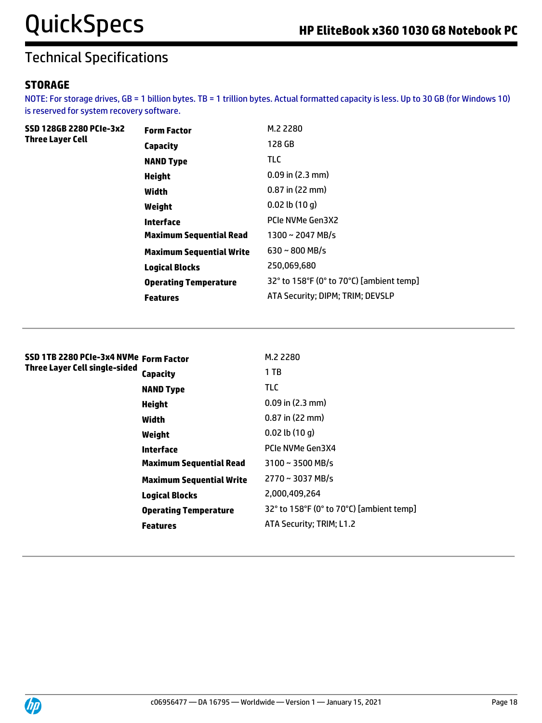**SSD 128GB 2280 PCIe-3x2** 

# Technical Specifications

#### **STORAGE**

**Three Layer Cell**

NOTE: For storage drives, GB = 1 billion bytes. TB = 1 trillion bytes. Actual formatted capacity is less. Up to 30 GB (for Windows 10) is reserved for system recovery software.

| Form Factor                     | M.2 2280                                 |
|---------------------------------|------------------------------------------|
| Capacity                        | 128 GB                                   |
| <b>NAND Type</b>                | TLC                                      |
| Height                          | $0.09$ in $(2.3$ mm)                     |
| Width                           | $0.87$ in (22 mm)                        |
| Weight                          | $0.02$ lb $(10q)$                        |
| Interface                       | PCIe NVMe Gen3X2                         |
| <b>Maximum Sequential Read</b>  | $1300 \sim 2047$ MB/s                    |
| <b>Maximum Sequential Write</b> | $630 \sim 800$ MB/s                      |
| Logical Blocks                  | 250,069,680                              |
| <b>Operating Temperature</b>    | 32° to 158°F (0° to 70°C) [ambient temp] |
| Features                        | ATA Security: DIPM; TRIM; DEVSLP         |
|                                 |                                          |

| SSD 1TB 2280 PCIe-3x4 NVMe  Form Factor<br>Three Layer Cell single-sided |                                 | M.2 2280                                 |
|--------------------------------------------------------------------------|---------------------------------|------------------------------------------|
|                                                                          | Capacity                        | 1 TB                                     |
|                                                                          | <b>NAND Type</b>                | <b>TLC</b>                               |
|                                                                          | <b>Height</b>                   | $0.09$ in $(2.3$ mm)                     |
|                                                                          | Width                           | $0.87$ in (22 mm)                        |
|                                                                          | Weight                          | $0.02$ lb $(10q)$                        |
|                                                                          | Interface                       | PCIe NVMe Gen3X4                         |
|                                                                          | <b>Maximum Sequential Read</b>  | $3100 \sim 3500$ MB/s                    |
|                                                                          | <b>Maximum Sequential Write</b> | 2770~3037 MB/s                           |
|                                                                          | <b>Logical Blocks</b>           | 2,000,409,264                            |
|                                                                          | <b>Operating Temperature</b>    | 32° to 158°F (0° to 70°C) [ambient temp] |
|                                                                          | <b>Features</b>                 | ATA Security; TRIM; L1.2                 |
|                                                                          |                                 |                                          |

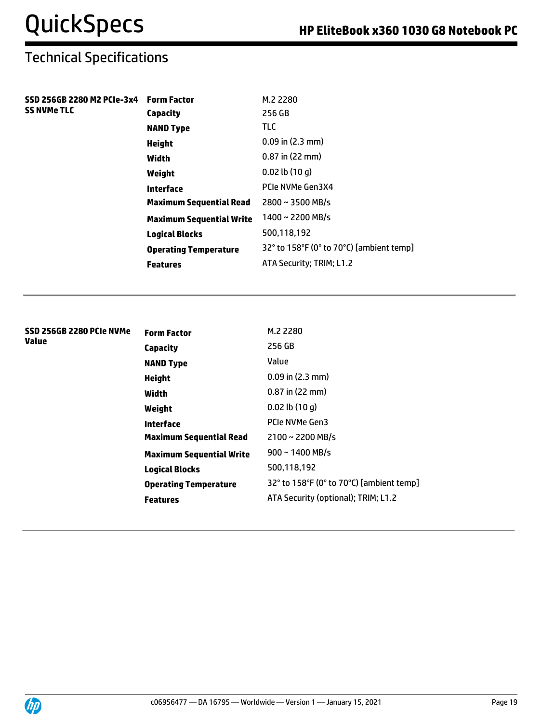| SSD 256GB 2280 M2 PCIe-3x4<br><b>SS NVMe TLC</b> | <b>Form Factor</b>              | M.2 2280                                 |
|--------------------------------------------------|---------------------------------|------------------------------------------|
|                                                  | Capacity                        | 256 GB                                   |
|                                                  | <b>NAND Type</b>                | TLC.                                     |
|                                                  | <b>Height</b>                   | $0.09$ in (2.3 mm)                       |
|                                                  | Width                           | $0.87$ in (22 mm)                        |
|                                                  | Weight                          | $0.02$ lb $(10q)$                        |
|                                                  | Interface                       | PCIe NVMe Gen3X4                         |
|                                                  | <b>Maximum Sequential Read</b>  | $2800 \sim 3500$ MB/s                    |
|                                                  | <b>Maximum Sequential Write</b> | 1400~2200 MB/s                           |
|                                                  | <b>Logical Blocks</b>           | 500,118,192                              |
|                                                  | <b>Operating Temperature</b>    | 32° to 158°F (0° to 70°C) [ambient temp] |
|                                                  | <b>Features</b>                 | ATA Security; TRIM; L1.2                 |

| SSD 256GB 2280 PCIe NVMe<br>Value | <b>Form Factor</b>              | M.2 2280                                 |
|-----------------------------------|---------------------------------|------------------------------------------|
|                                   | Capacity                        | 256 GB                                   |
|                                   | <b>NAND Type</b>                | Value                                    |
|                                   | Height                          | $0.09$ in (2.3 mm)                       |
|                                   | Width                           | $0.87$ in (22 mm)                        |
|                                   | Weight                          | $0.02$ lb $(10q)$                        |
|                                   | Interface                       | PCIe NVMe Gen3                           |
|                                   | <b>Maximum Sequential Read</b>  | $2100 \sim 2200$ MB/s                    |
|                                   | <b>Maximum Sequential Write</b> | $900 \sim 1400$ MB/s                     |
|                                   | <b>Logical Blocks</b>           | 500,118,192                              |
|                                   | <b>Operating Temperature</b>    | 32° to 158°F (0° to 70°C) [ambient temp] |
|                                   | <b>Features</b>                 | ATA Security (optional); TRIM; L1.2      |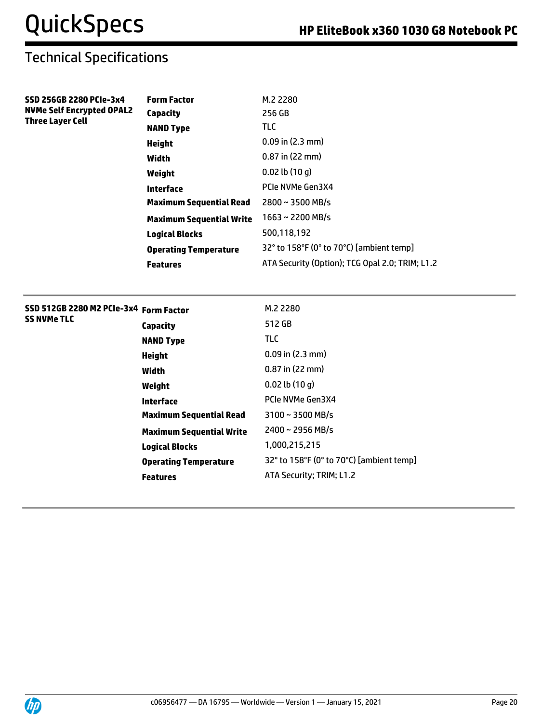**SSD 256GB 2280 PCIe-3x4 NVMe Self Encrypted OPAL2** 

**Three Layer Cell**

# Technical Specifications

| <b>Form Factor</b>             | M.2 2280                                        |
|--------------------------------|-------------------------------------------------|
| Capacity                       | 256 GB                                          |
| <b>NAND Type</b>               | <b>TLC</b>                                      |
| Height                         | $0.09$ in $(2.3$ mm)                            |
| Width                          | $0.87$ in (22 mm)                               |
| Weight                         | $0.02$ lb $(10q)$                               |
| Interface                      | PCIe NVMe Gen3X4                                |
| <b>Maximum Sequential Read</b> | $2800 \sim 3500$ MB/s                           |
| Maximum Sequential Write       | $1663 \sim 2200$ MB/s                           |
| Logical Blocks                 | 500,118,192                                     |
| <b>Operating Temperature</b>   | 32° to 158°F (0° to 70°C) [ambient temp]        |
| <b>Features</b>                | ATA Security (Option); TCG Opal 2.0; TRIM; L1.2 |

#### **SSD 512GB 2280 M2 PCIe-3x4 Form Factor** M.2 2280 **SS NVMe TLC**

| Capacity                        | 512 GB                                   |
|---------------------------------|------------------------------------------|
| NAND Type                       | TLC                                      |
| Height                          | $0.09$ in $(2.3$ mm)                     |
| Width                           | $0.87$ in (22 mm)                        |
| Weight                          | $0.02$ lb $(10q)$                        |
| Interface                       | PCIe NVMe Gen3X4                         |
| Maximum Sequential Read         | $3100 \sim 3500$ MB/s                    |
| <b>Maximum Sequential Write</b> | 2400~2956 MB/s                           |
| Logical Blocks                  | 1,000,215,215                            |
| Operating Temperature           | 32° to 158°F (0° to 70°C) [ambient temp] |
| Features                        | ATA Security; TRIM; L1.2                 |
|                                 |                                          |

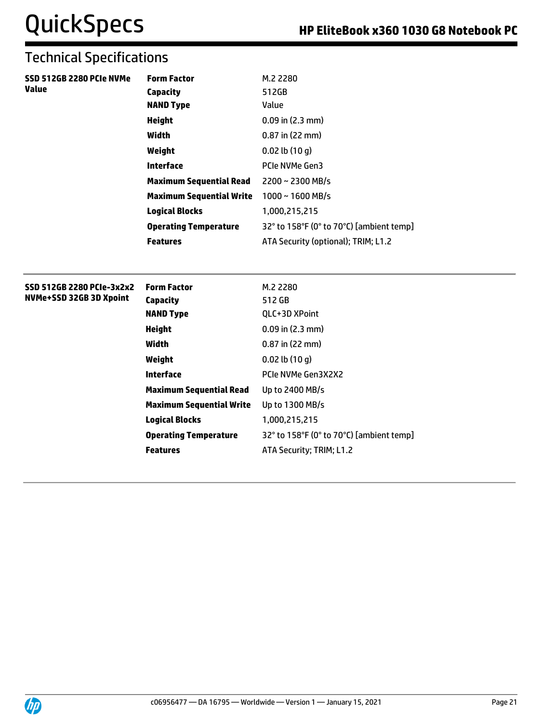| SSD 512GB 2280 PCIe NVMe<br><b>Value</b> | <b>Form Factor</b>              | M.2 2280                                 |
|------------------------------------------|---------------------------------|------------------------------------------|
|                                          | <b>Capacity</b>                 | 512GB                                    |
|                                          | <b>NAND Type</b>                | Value                                    |
|                                          | <b>Height</b>                   | $0.09$ in $(2.3$ mm)                     |
|                                          | Width                           | 0.87 in (22 mm)                          |
|                                          | Weight                          | $0.02$ lb $(10q)$                        |
|                                          | <b>Interface</b>                | PCIe NVMe Gen3                           |
|                                          | <b>Maximum Sequential Read</b>  | 2200~2300 MB/s                           |
|                                          | <b>Maximum Sequential Write</b> | $1000 \sim 1600$ MB/s                    |
|                                          | <b>Logical Blocks</b>           | 1,000,215,215                            |
|                                          | <b>Operating Temperature</b>    | 32° to 158°F (0° to 70°C) [ambient temp] |
|                                          | <b>Features</b>                 | ATA Security (optional); TRIM; L1.2      |
| SSD 512GB 2280 PCIe-3x2x2                | <b>Form Factor</b>              | M.2 2280                                 |
| NVMe+SSD 32GB 3D Xpoint                  | <b>Capacity</b>                 | 512 GB                                   |
|                                          | <b>NAND Type</b>                | QLC+3D XPoint                            |
|                                          | <b>Height</b>                   | $0.09$ in (2.3 mm)                       |
|                                          | Width                           | $0.87$ in (22 mm)                        |
|                                          | Weight                          | $0.02$ lb $(10q)$                        |
|                                          | <b>Interface</b>                | PCIe NVMe Gen3X2X2                       |
|                                          | <b>Maximum Sequential Read</b>  | Up to 2400 MB/s                          |
|                                          | <b>Maximum Sequential Write</b> | Up to 1300 MB/s                          |
|                                          | <b>Logical Blocks</b>           | 1,000,215,215                            |
|                                          | <b>Operating Temperature</b>    | 32° to 158°F (0° to 70°C) [ambient temp] |
|                                          | <b>Features</b>                 | ATA Security; TRIM; L1.2                 |
|                                          |                                 |                                          |

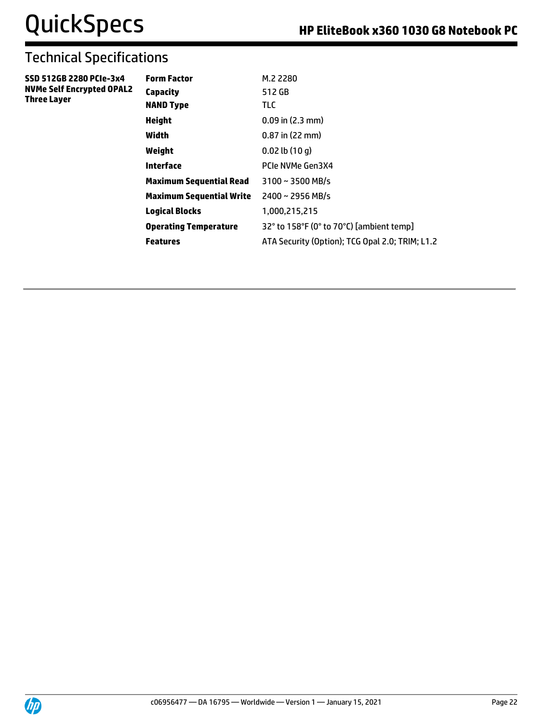| SSD 512GB 2280 PCIe-3x4          |  |
|----------------------------------|--|
| <b>NVMe Self Encrypted OPAL2</b> |  |
| <b>Three Layer</b>               |  |

| Form Factor              | M.2 2280                                        |
|--------------------------|-------------------------------------------------|
| Capacity                 | 512 GB                                          |
| NAND Type                | TLC.                                            |
| Height                   | $0.09$ in $(2.3$ mm)                            |
| Width                    | $0.87$ in (22 mm)                               |
| Weight                   | $0.02$ lb $(10q)$                               |
| Interface                | PCIe NVMe Gen3X4                                |
| Maximum Sequential Read  | $3100 \sim 3500$ MB/s                           |
| Maximum Sequential Write | $2400 \sim 2956$ MB/s                           |
| <b>Logical Blocks</b>    | 1,000,215,215                                   |
| Operating Temperature    | 32° to 158°F (0° to 70°C) [ambient temp]        |
| Features                 | ATA Security (Option); TCG Opal 2.0; TRIM; L1.2 |
|                          |                                                 |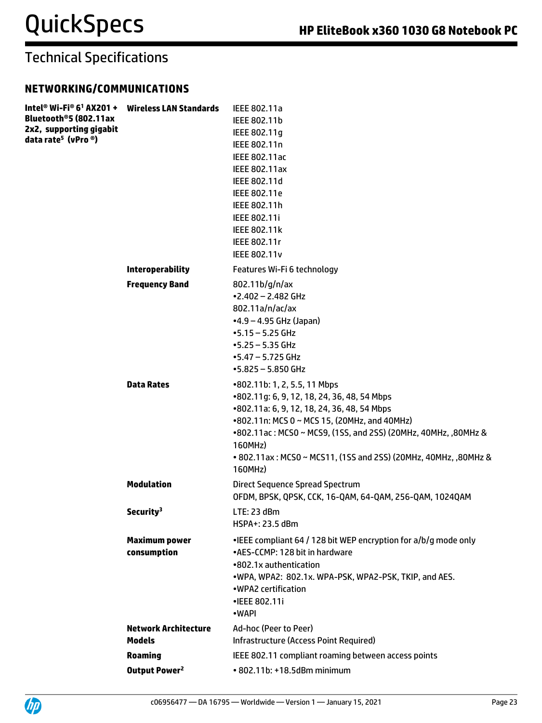#### **NETWORKING/COMMUNICATIONS**

| Intel® Wi-Fi® 6 <sup>1</sup> AX201 + Wireless LAN Standards<br>Bluetooth®5 (802.11ax<br>2x2, supporting gigabit<br>data rate <sup>5</sup> (vPro ®) |                                             | IEEE 802.11a<br>IEEE 802.11b<br>IEEE 802.11g<br>IEEE 802.11n<br><b>IEEE 802.11ac</b><br><b>IEEE 802.11ax</b><br>IEEE 802.11d<br>IEEE 802.11e<br>IEEE 802.11h<br>IEEE 802.11i<br><b>IEEE 802.11k</b><br>IEEE 802.11r<br><b>IEEE 802.11v</b>                                                                                            |
|----------------------------------------------------------------------------------------------------------------------------------------------------|---------------------------------------------|---------------------------------------------------------------------------------------------------------------------------------------------------------------------------------------------------------------------------------------------------------------------------------------------------------------------------------------|
|                                                                                                                                                    | <b>Interoperability</b>                     | Features Wi-Fi 6 technology                                                                                                                                                                                                                                                                                                           |
|                                                                                                                                                    | <b>Frequency Band</b>                       | 802.11b/g/n/ax<br>$-2.402 - 2.482$ GHz<br>802.11a/n/ac/ax<br>$-4.9 - 4.95$ GHz (Japan)<br>$-5.15 - 5.25$ GHz<br>$-5.25 - 5.35$ GHz<br>$-5.47 - 5.725$ GHz<br>$-5.825 - 5.850$ GHz                                                                                                                                                     |
|                                                                                                                                                    | <b>Data Rates</b>                           | •802.11b: 1, 2, 5.5, 11 Mbps<br>•802.11g: 6, 9, 12, 18, 24, 36, 48, 54 Mbps<br>•802.11a: 6, 9, 12, 18, 24, 36, 48, 54 Mbps<br>•802.11n: MCS 0 ~ MCS 15, (20MHz, and 40MHz)<br>•802.11ac: MCS0 ~ MCS9, (1SS, and 2SS) (20MHz, 40MHz, ,80MHz &<br>160MHz)<br>• 802.11ax: MCS0 ~ MCS11, (1SS and 2SS) (20MHz, 40MHz, ,80MHz &<br>160MHz) |
|                                                                                                                                                    | <b>Modulation</b>                           | Direct Sequence Spread Spectrum<br>OFDM, BPSK, QPSK, CCK, 16-QAM, 64-QAM, 256-QAM, 1024QAM                                                                                                                                                                                                                                            |
|                                                                                                                                                    | Security <sup>3</sup>                       | LTE: 23 dBm<br>HSPA+: 23.5 dBm                                                                                                                                                                                                                                                                                                        |
|                                                                                                                                                    | <b>Maximum power</b><br>consumption         | •IEEE compliant 64 / 128 bit WEP encryption for a/b/g mode only<br>•AES-CCMP: 128 bit in hardware<br>•802.1x authentication<br>.WPA, WPA2: 802.1x. WPA-PSK, WPA2-PSK, TKIP, and AES.<br>•WPA2 certification<br>•IEEE 802.11i<br>•WAPI                                                                                                 |
|                                                                                                                                                    | <b>Network Architecture</b>                 | Ad-hoc (Peer to Peer)                                                                                                                                                                                                                                                                                                                 |
|                                                                                                                                                    | <b>Models</b>                               | <b>Infrastructure (Access Point Required)</b>                                                                                                                                                                                                                                                                                         |
|                                                                                                                                                    | <b>Roaming</b><br>Output Power <sup>2</sup> | IEEE 802.11 compliant roaming between access points<br>• 802.11b: +18.5dBm minimum                                                                                                                                                                                                                                                    |
|                                                                                                                                                    |                                             |                                                                                                                                                                                                                                                                                                                                       |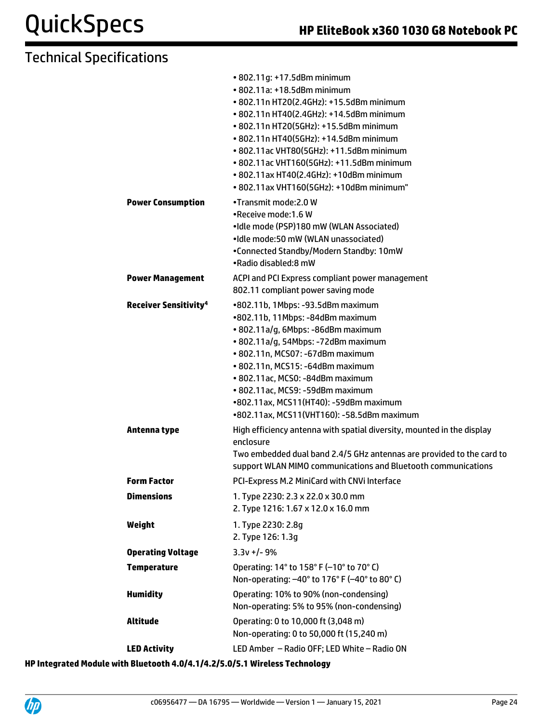|                                         | • 802.11g: +17.5dBm minimum<br>• 802.11a: +18.5dBm minimum                                                                             |
|-----------------------------------------|----------------------------------------------------------------------------------------------------------------------------------------|
|                                         | • 802.11n HT20(2.4GHz): +15.5dBm minimum<br>• 802.11n HT40(2.4GHz): +14.5dBm minimum                                                   |
|                                         | • 802.11n HT20(5GHz): +15.5dBm minimum                                                                                                 |
|                                         | • 802.11n HT40(5GHz): +14.5dBm minimum                                                                                                 |
|                                         | • 802.11ac VHT80(5GHz): +11.5dBm minimum                                                                                               |
|                                         | • 802.11ac VHT160(5GHz): +11.5dBm minimum                                                                                              |
|                                         | • 802.11ax HT40(2.4GHz): +10dBm minimum                                                                                                |
|                                         | • 802.11ax VHT160(5GHz): +10dBm minimum"                                                                                               |
| <b>Power Consumption</b>                | •Transmit mode: 2.0 W                                                                                                                  |
|                                         | .Receive mode: 1.6 W<br>•Idle mode (PSP)180 mW (WLAN Associated)                                                                       |
|                                         | •Idle mode:50 mW (WLAN unassociated)                                                                                                   |
|                                         | •Connected Standby/Modern Standby: 10mW                                                                                                |
|                                         | •Radio disabled:8 mW                                                                                                                   |
| <b>Power Management</b>                 | ACPI and PCI Express compliant power management                                                                                        |
|                                         | 802.11 compliant power saving mode                                                                                                     |
| <b>Receiver Sensitivity<sup>4</sup></b> | •802.11b, 1Mbps: -93.5dBm maximum                                                                                                      |
|                                         | •802.11b, 11Mbps: -84dBm maximum                                                                                                       |
|                                         | · 802.11a/g, 6Mbps: -86dBm maximum                                                                                                     |
|                                         | · 802.11a/g, 54Mbps: -72dBm maximum<br>• 802.11n, MCS07: -67dBm maximum                                                                |
|                                         | • 802.11n, MCS15: -64dBm maximum                                                                                                       |
|                                         | • 802.11ac, MCS0: -84dBm maximum                                                                                                       |
|                                         | • 802.11ac, MCS9: -59dBm maximum                                                                                                       |
|                                         | •802.11ax, MCS11(HT40): -59dBm maximum                                                                                                 |
|                                         | •802.11ax, MCS11(VHT160): -58.5dBm maximum                                                                                             |
| Antenna type                            | High efficiency antenna with spatial diversity, mounted in the display                                                                 |
|                                         | enclosure                                                                                                                              |
|                                         | Two embedded dual band 2.4/5 GHz antennas are provided to the card to<br>support WLAN MIMO communications and Bluetooth communications |
| <b>Form Factor</b>                      | PCI-Express M.2 MiniCard with CNVi Interface                                                                                           |
| <b>Dimensions</b>                       | 1. Type 2230: 2.3 x 22.0 x 30.0 mm                                                                                                     |
|                                         | 2. Type 1216: 1.67 x 12.0 x 16.0 mm                                                                                                    |
| Weight                                  | 1. Type 2230: 2.8g                                                                                                                     |
|                                         | 2. Type 126: 1.3g                                                                                                                      |
| <b>Operating Voltage</b>                | $3.3v +/- 9%$                                                                                                                          |
| <b>Temperature</b>                      | Operating: 14° to 158° F (-10° to 70° C)                                                                                               |
|                                         | Non-operating: -40° to 176° F (-40° to 80° C)                                                                                          |
| <b>Humidity</b>                         | Operating: 10% to 90% (non-condensing)                                                                                                 |
|                                         | Non-operating: 5% to 95% (non-condensing)                                                                                              |
| <b>Altitude</b>                         | Operating: 0 to 10,000 ft (3,048 m)                                                                                                    |
|                                         | Non-operating: 0 to 50,000 ft (15,240 m)                                                                                               |
| <b>LED Activity</b>                     | LED Amber - Radio OFF; LED White - Radio ON                                                                                            |
|                                         | staath 4.0/4.4/4.3/5.0/5.4.Wivelass Technology                                                                                         |

**HP Integrated Module with Bluetooth 4.0/4.1/4.2/5.0/5.1 Wireless Technology**

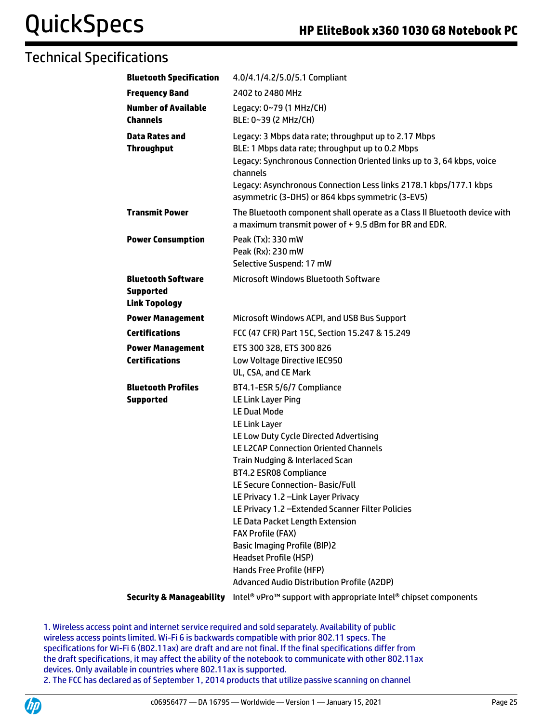| <b>Bluetooth Specification</b>                                        | 4.0/4.1/4.2/5.0/5.1 Compliant                                                                                                                                                                                                                                                                                                                                                                                                                                                                                                                                                                         |
|-----------------------------------------------------------------------|-------------------------------------------------------------------------------------------------------------------------------------------------------------------------------------------------------------------------------------------------------------------------------------------------------------------------------------------------------------------------------------------------------------------------------------------------------------------------------------------------------------------------------------------------------------------------------------------------------|
| <b>Frequency Band</b>                                                 | 2402 to 2480 MHz                                                                                                                                                                                                                                                                                                                                                                                                                                                                                                                                                                                      |
| <b>Number of Available</b><br><b>Channels</b>                         | Legacy: 0~79 (1 MHz/CH)<br>BLE: 0~39 (2 MHz/CH)                                                                                                                                                                                                                                                                                                                                                                                                                                                                                                                                                       |
| <b>Data Rates and</b><br><b>Throughput</b>                            | Legacy: 3 Mbps data rate; throughput up to 2.17 Mbps<br>BLE: 1 Mbps data rate; throughput up to 0.2 Mbps<br>Legacy: Synchronous Connection Oriented links up to 3, 64 kbps, voice<br>channels<br>Legacy: Asynchronous Connection Less links 2178.1 kbps/177.1 kbps<br>asymmetric (3-DH5) or 864 kbps symmetric (3-EV5)                                                                                                                                                                                                                                                                                |
| <b>Transmit Power</b>                                                 | The Bluetooth component shall operate as a Class II Bluetooth device with<br>a maximum transmit power of +9.5 dBm for BR and EDR.                                                                                                                                                                                                                                                                                                                                                                                                                                                                     |
| <b>Power Consumption</b>                                              | Peak (Tx): 330 mW<br>Peak (Rx): 230 mW<br>Selective Suspend: 17 mW                                                                                                                                                                                                                                                                                                                                                                                                                                                                                                                                    |
| <b>Bluetooth Software</b><br><b>Supported</b><br><b>Link Topology</b> | <b>Microsoft Windows Bluetooth Software</b>                                                                                                                                                                                                                                                                                                                                                                                                                                                                                                                                                           |
| <b>Power Management</b>                                               | Microsoft Windows ACPI, and USB Bus Support                                                                                                                                                                                                                                                                                                                                                                                                                                                                                                                                                           |
| <b>Certifications</b>                                                 | FCC (47 CFR) Part 15C, Section 15.247 & 15.249                                                                                                                                                                                                                                                                                                                                                                                                                                                                                                                                                        |
| <b>Power Management</b><br><b>Certifications</b>                      | ETS 300 328, ETS 300 826<br>Low Voltage Directive IEC950<br>UL, CSA, and CE Mark                                                                                                                                                                                                                                                                                                                                                                                                                                                                                                                      |
| <b>Bluetooth Profiles</b><br><b>Supported</b>                         | BT4.1-ESR 5/6/7 Compliance<br>LE Link Layer Ping<br><b>LE Dual Mode</b><br>LE Link Layer<br>LE Low Duty Cycle Directed Advertising<br><b>LE L2CAP Connection Oriented Channels</b><br>Train Nudging & Interlaced Scan<br>BT4.2 ESR08 Compliance<br>LE Secure Connection-Basic/Full<br>LE Privacy 1.2 - Link Layer Privacy<br>LE Privacy 1.2 - Extended Scanner Filter Policies<br>LE Data Packet Length Extension<br><b>FAX Profile (FAX)</b><br><b>Basic Imaging Profile (BIP)2</b><br><b>Headset Profile (HSP)</b><br>Hands Free Profile (HFP)<br><b>Advanced Audio Distribution Profile (A2DP)</b> |
| <b>Security &amp; Manageability</b>                                   | Intel <sup>®</sup> vPro <sup>™</sup> support with appropriate Intel <sup>®</sup> chipset components                                                                                                                                                                                                                                                                                                                                                                                                                                                                                                   |

1. Wireless access point and internet service required and sold separately. Availability of public wireless access points limited. Wi-Fi 6 is backwards compatible with prior 802.11 specs. The specifications for Wi-Fi 6 (802.11ax) are draft and are not final. If the final specifications differ from the draft specifications, it may affect the ability of the notebook to communicate with other 802.11ax devices. Only available in countries where 802.11ax is supported. 2. The FCC has declared as of September 1, 2014 products that utilize passive scanning on channel

UD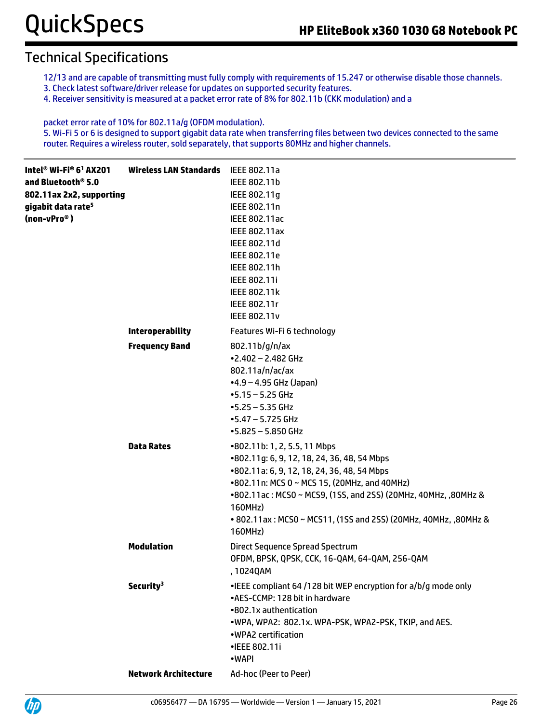- 12/13 and are capable of transmitting must fully comply with requirements of 15.247 or otherwise disable those channels.
- 3. Check latest software/driver release for updates on supported security features.
- 4. Receiver sensitivity is measured at a packet error rate of 8% for 802.11b (CKK modulation) and a

packet error rate of 10% for 802.11a/g (OFDM modulation). 5. Wi-Fi 5 or 6 is designed to support gigabit data rate when transferring files between two devices connected to the same router. Requires a wireless router, sold separately, that supports 80MHz and higher channels.

| Intel® Wi-Fi® 6 <sup>1</sup> AX201<br>and Bluetooth® 5.0<br>802.11ax 2x2, supporting<br>gigabit data rate <sup>5</sup><br>(non-vPro <sup>®</sup> ) | <b>Wireless LAN Standards</b> | IEEE 802.11a<br>IEEE 802.11b<br>IEEE 802.11g<br>IEEE 802.11n<br>IEEE 802.11ac<br><b>IEEE 802.11ax</b><br>IEEE 802.11d<br>IEEE 802.11e<br>IEEE 802.11h<br>IEEE 802.11i<br><b>IEEE 802.11k</b><br>IEEE 802.11r<br><b>IEEE 802.11v</b>                                                                                                   |
|----------------------------------------------------------------------------------------------------------------------------------------------------|-------------------------------|---------------------------------------------------------------------------------------------------------------------------------------------------------------------------------------------------------------------------------------------------------------------------------------------------------------------------------------|
|                                                                                                                                                    | <b>Interoperability</b>       | Features Wi-Fi 6 technology                                                                                                                                                                                                                                                                                                           |
|                                                                                                                                                    | <b>Frequency Band</b>         | 802.11b/g/n/ax<br>$•2.402 - 2.482$ GHz<br>802.11a/n/ac/ax<br>$-4.9 - 4.95$ GHz (Japan)<br>$-5.15 - 5.25$ GHz<br>$-5.25 - 5.35$ GHz<br>$-5.47 - 5.725$ GHz<br>$-5.825 - 5.850$ GHz                                                                                                                                                     |
|                                                                                                                                                    | <b>Data Rates</b>             | •802.11b: 1, 2, 5.5, 11 Mbps<br>•802.11g: 6, 9, 12, 18, 24, 36, 48, 54 Mbps<br>•802.11a: 6, 9, 12, 18, 24, 36, 48, 54 Mbps<br>•802.11n: MCS 0 ~ MCS 15, (20MHz, and 40MHz)<br>•802.11ac: MCS0 ~ MCS9, (1SS, and 2SS) (20MHz, 40MHz, ,80MHz &<br>160MHz)<br>• 802.11ax: MCS0 ~ MCS11, (1SS and 2SS) (20MHz, 40MHz, ,80MHz &<br>160MHz) |
|                                                                                                                                                    | <b>Modulation</b>             | Direct Sequence Spread Spectrum<br>OFDM, BPSK, QPSK, CCK, 16-QAM, 64-QAM, 256-QAM<br>, 1024QAM                                                                                                                                                                                                                                        |
|                                                                                                                                                    | Security <sup>3</sup>         | •IEEE compliant 64 /128 bit WEP encryption for a/b/g mode only<br>•AES-CCMP: 128 bit in hardware<br>•802.1x authentication<br>.WPA, WPA2: 802.1x. WPA-PSK, WPA2-PSK, TKIP, and AES.<br>.WPA2 certification<br>•IEEE 802.11i<br>•WAPI                                                                                                  |
|                                                                                                                                                    | <b>Network Architecture</b>   | Ad-hoc (Peer to Peer)                                                                                                                                                                                                                                                                                                                 |

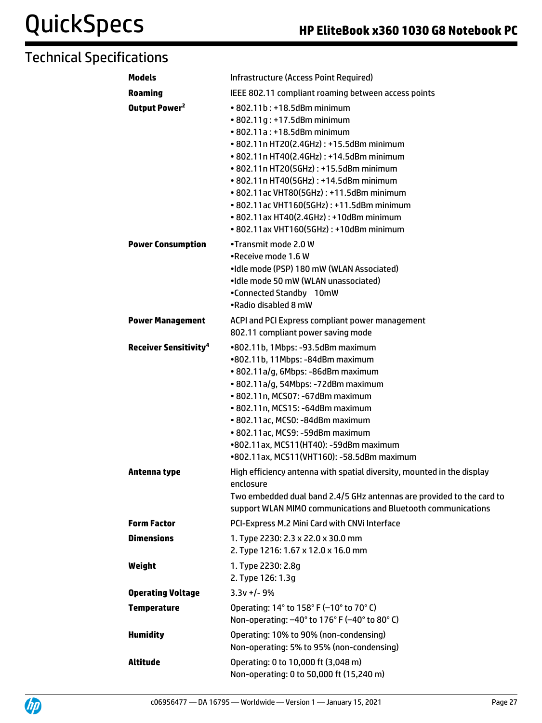| <b>Models</b>                           | Infrastructure (Access Point Required)                                                                                                                                                                                                                                                                                                                                                                                                                                        |  |
|-----------------------------------------|-------------------------------------------------------------------------------------------------------------------------------------------------------------------------------------------------------------------------------------------------------------------------------------------------------------------------------------------------------------------------------------------------------------------------------------------------------------------------------|--|
| <b>Roaming</b>                          | IEEE 802.11 compliant roaming between access points                                                                                                                                                                                                                                                                                                                                                                                                                           |  |
| Output Power <sup>2</sup>               | $\cdot$ 802.11b: $\cdot$ 18.5dBm minimum<br>• 802.11g: +17.5dBm minimum<br>$\cdot$ 802.11a : $\pm$ 18.5dBm minimum<br>• 802.11n HT20(2.4GHz): +15.5dBm minimum<br>• 802.11n HT40(2.4GHz): +14.5dBm minimum<br>• 802.11n HT20(5GHz): +15.5dBm minimum<br>• 802.11n HT40(5GHz): +14.5dBm minimum<br>• 802.11ac VHT80(5GHz): +11.5dBm minimum<br>• 802.11ac VHT160(5GHz): +11.5dBm minimum<br>• 802.11ax HT40(2.4GHz): +10dBm minimum<br>• 802.11ax VHT160(5GHz): +10dBm minimum |  |
| <b>Power Consumption</b>                | •Transmit mode 2.0 W<br>.Receive mode 1.6 W<br>•Idle mode (PSP) 180 mW (WLAN Associated)<br>•Idle mode 50 mW (WLAN unassociated)<br>•Connected Standby 10mW<br>.Radio disabled 8 mW                                                                                                                                                                                                                                                                                           |  |
| <b>Power Management</b>                 | ACPI and PCI Express compliant power management<br>802.11 compliant power saving mode                                                                                                                                                                                                                                                                                                                                                                                         |  |
| <b>Receiver Sensitivity<sup>4</sup></b> | •802.11b, 1Mbps: -93.5dBm maximum<br>•802.11b, 11Mbps: -84dBm maximum<br>· 802.11a/g, 6Mbps: -86dBm maximum<br>• 802.11a/g, 54Mbps: -72dBm maximum<br>• 802.11n, MCS07: -67dBm maximum<br>• 802.11n, MCS15: -64dBm maximum<br>• 802.11ac, MCS0: -84dBm maximum<br>· 802.11ac, MCS9: -59dBm maximum<br>•802.11ax, MCS11(HT40): -59dBm maximum<br>•802.11ax, MCS11(VHT160): -58.5dBm maximum                                                                                    |  |
| Antenna type                            | High efficiency antenna with spatial diversity, mounted in the display<br>enclosure<br>Two embedded dual band 2.4/5 GHz antennas are provided to the card to<br>support WLAN MIMO communications and Bluetooth communications                                                                                                                                                                                                                                                 |  |
| <b>Form Factor</b>                      | PCI-Express M.2 Mini Card with CNVi Interface                                                                                                                                                                                                                                                                                                                                                                                                                                 |  |
| <b>Dimensions</b>                       | 1. Type 2230: 2.3 x 22.0 x 30.0 mm<br>2. Type 1216: 1.67 x 12.0 x 16.0 mm                                                                                                                                                                                                                                                                                                                                                                                                     |  |
| Weight                                  | 1. Type 2230: 2.8g<br>2. Type 126: 1.3g                                                                                                                                                                                                                                                                                                                                                                                                                                       |  |
| <b>Operating Voltage</b>                | $3.3v + 1 - 9%$                                                                                                                                                                                                                                                                                                                                                                                                                                                               |  |
| <b>Temperature</b>                      | Operating: 14° to 158° F (-10° to 70° C)<br>Non-operating: -40° to 176° F (-40° to 80° C)                                                                                                                                                                                                                                                                                                                                                                                     |  |
| <b>Humidity</b>                         | Operating: 10% to 90% (non-condensing)<br>Non-operating: 5% to 95% (non-condensing)                                                                                                                                                                                                                                                                                                                                                                                           |  |
| <b>Altitude</b>                         | Operating: 0 to 10,000 ft (3,048 m)<br>Non-operating: 0 to 50,000 ft (15,240 m)                                                                                                                                                                                                                                                                                                                                                                                               |  |

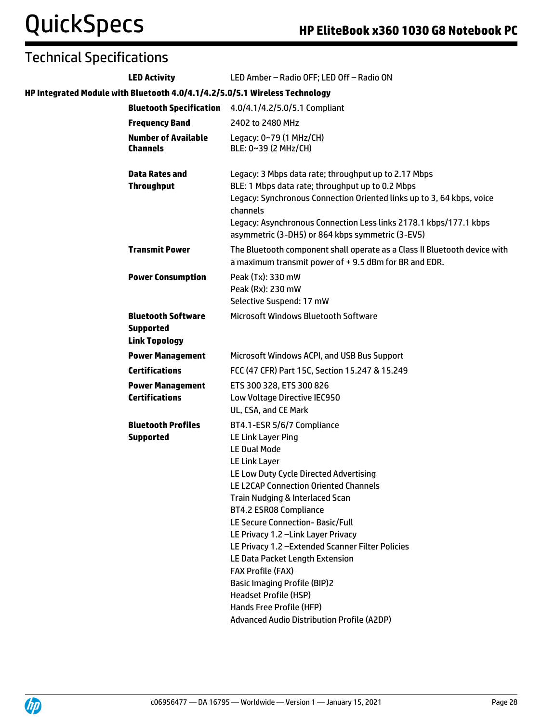| <b>LED Activity</b>                                                   | LED Amber - Radio OFF; LED Off - Radio ON                                                                                                                                                                                                                                                                                                                                                                                                                                                                                                                                                       |
|-----------------------------------------------------------------------|-------------------------------------------------------------------------------------------------------------------------------------------------------------------------------------------------------------------------------------------------------------------------------------------------------------------------------------------------------------------------------------------------------------------------------------------------------------------------------------------------------------------------------------------------------------------------------------------------|
|                                                                       | HP Integrated Module with Bluetooth 4.0/4.1/4.2/5.0/5.1 Wireless Technology                                                                                                                                                                                                                                                                                                                                                                                                                                                                                                                     |
|                                                                       | <b>Bluetooth Specification</b> 4.0/4.1/4.2/5.0/5.1 Compliant                                                                                                                                                                                                                                                                                                                                                                                                                                                                                                                                    |
| <b>Frequency Band</b>                                                 | 2402 to 2480 MHz                                                                                                                                                                                                                                                                                                                                                                                                                                                                                                                                                                                |
| <b>Number of Available</b><br><b>Channels</b>                         | Legacy: 0~79 (1 MHz/CH)<br>BLE: 0~39 (2 MHz/CH)                                                                                                                                                                                                                                                                                                                                                                                                                                                                                                                                                 |
| <b>Data Rates and</b><br><b>Throughput</b>                            | Legacy: 3 Mbps data rate; throughput up to 2.17 Mbps<br>BLE: 1 Mbps data rate; throughput up to 0.2 Mbps<br>Legacy: Synchronous Connection Oriented links up to 3, 64 kbps, voice<br>channels<br>Legacy: Asynchronous Connection Less links 2178.1 kbps/177.1 kbps<br>asymmetric (3-DH5) or 864 kbps symmetric (3-EV5)                                                                                                                                                                                                                                                                          |
| <b>Transmit Power</b>                                                 | The Bluetooth component shall operate as a Class II Bluetooth device with<br>a maximum transmit power of +9.5 dBm for BR and EDR.                                                                                                                                                                                                                                                                                                                                                                                                                                                               |
| <b>Power Consumption</b>                                              | Peak (Tx): 330 mW<br>Peak (Rx): 230 mW<br>Selective Suspend: 17 mW                                                                                                                                                                                                                                                                                                                                                                                                                                                                                                                              |
| <b>Bluetooth Software</b><br><b>Supported</b><br><b>Link Topology</b> | <b>Microsoft Windows Bluetooth Software</b>                                                                                                                                                                                                                                                                                                                                                                                                                                                                                                                                                     |
| <b>Power Management</b>                                               | Microsoft Windows ACPI, and USB Bus Support                                                                                                                                                                                                                                                                                                                                                                                                                                                                                                                                                     |
| <b>Certifications</b>                                                 | FCC (47 CFR) Part 15C, Section 15.247 & 15.249                                                                                                                                                                                                                                                                                                                                                                                                                                                                                                                                                  |
| <b>Power Management</b><br><b>Certifications</b>                      | ETS 300 328, ETS 300 826<br>Low Voltage Directive IEC950<br>UL, CSA, and CE Mark                                                                                                                                                                                                                                                                                                                                                                                                                                                                                                                |
| <b>Bluetooth Profiles</b><br><b>Supported</b>                         | BT4.1-ESR 5/6/7 Compliance<br>LE Link Layer Ping<br><b>LE Dual Mode</b><br>LE Link Layer<br>LE Low Duty Cycle Directed Advertising<br>LE L2CAP Connection Oriented Channels<br>Train Nudging & Interlaced Scan<br>BT4.2 ESR08 Compliance<br>LE Secure Connection- Basic/Full<br>LE Privacy 1.2 - Link Layer Privacy<br>LE Privacy 1.2 - Extended Scanner Filter Policies<br>LE Data Packet Length Extension<br><b>FAX Profile (FAX)</b><br><b>Basic Imaging Profile (BIP)2</b><br><b>Headset Profile (HSP)</b><br>Hands Free Profile (HFP)<br><b>Advanced Audio Distribution Profile (A2DP)</b> |
|                                                                       |                                                                                                                                                                                                                                                                                                                                                                                                                                                                                                                                                                                                 |

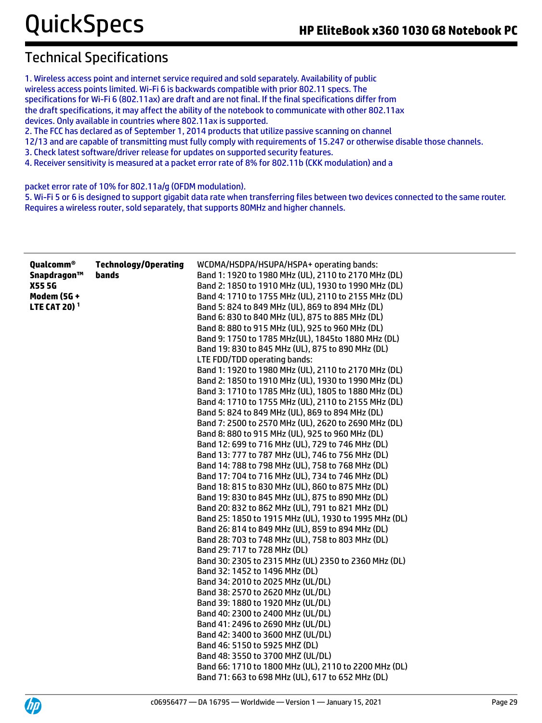1. Wireless access point and internet service required and sold separately. Availability of public wireless access points limited. Wi-Fi 6 is backwards compatible with prior 802.11 specs. The specifications for Wi-Fi 6 (802.11ax) are draft and are not final. If the final specifications differ from the draft specifications, it may affect the ability of the notebook to communicate with other 802.11ax devices. Only available in countries where 802.11ax is supported. 2. The FCC has declared as of September 1, 2014 products that utilize passive scanning on channel

12/13 and are capable of transmitting must fully comply with requirements of 15.247 or otherwise disable those channels.

3. Check latest software/driver release for updates on supported security features.

4. Receiver sensitivity is measured at a packet error rate of 8% for 802.11b (CKK modulation) and a

packet error rate of 10% for 802.11a/g (OFDM modulation).

5. Wi-Fi 5 or 6 is designed to support gigabit data rate when transferring files between two devices connected to the same router. Requires a wireless router, sold separately, that supports 80MHz and higher channels.

| <b>Qualcomm®</b><br>Snapdragon™<br><b>X555G</b><br><b>Modem (5G +</b><br><b>LTE CAT 20)<sup>1</sup></b> | <b>Technology/Operating</b><br>bands | WCDMA/HSDPA/HSUPA/HSPA+ operating bands:<br>Band 1: 1920 to 1980 MHz (UL), 2110 to 2170 MHz (DL)<br>Band 2: 1850 to 1910 MHz (UL), 1930 to 1990 MHz (DL)<br>Band 4: 1710 to 1755 MHz (UL), 2110 to 2155 MHz (DL)<br>Band 5: 824 to 849 MHz (UL), 869 to 894 MHz (DL)<br>Band 6: 830 to 840 MHz (UL), 875 to 885 MHz (DL)<br>Band 8: 880 to 915 MHz (UL), 925 to 960 MHz (DL)<br>Band 9: 1750 to 1785 MHz(UL), 1845to 1880 MHz (DL)<br>Band 19: 830 to 845 MHz (UL), 875 to 890 MHz (DL)<br>LTE FDD/TDD operating bands:<br>Band 1: 1920 to 1980 MHz (UL), 2110 to 2170 MHz (DL)<br>Band 2: 1850 to 1910 MHz (UL), 1930 to 1990 MHz (DL)<br>Band 3: 1710 to 1785 MHz (UL), 1805 to 1880 MHz (DL)<br>Band 4: 1710 to 1755 MHz (UL), 2110 to 2155 MHz (DL)<br>Band 5: 824 to 849 MHz (UL), 869 to 894 MHz (DL)<br>Band 7: 2500 to 2570 MHz (UL), 2620 to 2690 MHz (DL)<br>Band 8: 880 to 915 MHz (UL), 925 to 960 MHz (DL)<br>Band 12: 699 to 716 MHz (UL), 729 to 746 MHz (DL)<br>Band 13: 777 to 787 MHz (UL), 746 to 756 MHz (DL)<br>Band 14: 788 to 798 MHz (UL), 758 to 768 MHz (DL)<br>Band 17: 704 to 716 MHz (UL), 734 to 746 MHz (DL)<br>Band 18: 815 to 830 MHz (UL), 860 to 875 MHz (DL)<br>Band 19: 830 to 845 MHz (UL), 875 to 890 MHz (DL)<br>Band 20: 832 to 862 MHz (UL), 791 to 821 MHz (DL)<br>Band 25: 1850 to 1915 MHz (UL), 1930 to 1995 MHz (DL)<br>Band 26: 814 to 849 MHz (UL), 859 to 894 MHz (DL)<br>Band 28: 703 to 748 MHz (UL), 758 to 803 MHz (DL)<br>Band 29: 717 to 728 MHz (DL)<br>Band 30: 2305 to 2315 MHz (UL) 2350 to 2360 MHz (DL)<br>Band 32: 1452 to 1496 MHz (DL)<br>Band 34: 2010 to 2025 MHz (UL/DL)<br>Band 38: 2570 to 2620 MHz (UL/DL)<br>Band 39: 1880 to 1920 MHz (UL/DL)<br>Band 40: 2300 to 2400 MHz (UL/DL)<br>Band 41: 2496 to 2690 MHz (UL/DL)<br>Band 42: 3400 to 3600 MHZ (UL/DL)<br>Band 46: 5150 to 5925 MHZ (DL)<br>Band 48: 3550 to 3700 MHZ (UL/DL)<br>Band 66: 1710 to 1800 MHz (UL), 2110 to 2200 MHz (DL)<br>Band 71: 663 to 698 MHz (UL), 617 to 652 MHz (DL) |
|---------------------------------------------------------------------------------------------------------|--------------------------------------|----------------------------------------------------------------------------------------------------------------------------------------------------------------------------------------------------------------------------------------------------------------------------------------------------------------------------------------------------------------------------------------------------------------------------------------------------------------------------------------------------------------------------------------------------------------------------------------------------------------------------------------------------------------------------------------------------------------------------------------------------------------------------------------------------------------------------------------------------------------------------------------------------------------------------------------------------------------------------------------------------------------------------------------------------------------------------------------------------------------------------------------------------------------------------------------------------------------------------------------------------------------------------------------------------------------------------------------------------------------------------------------------------------------------------------------------------------------------------------------------------------------------------------------------------------------------------------------------------------------------------------------------------------------------------------------------------------------------------------------------------------------------------------------------------------------------------------------------------------------------------------------------------------------------------------------------------------------------------------------------------------------------------|
|                                                                                                         |                                      |                                                                                                                                                                                                                                                                                                                                                                                                                                                                                                                                                                                                                                                                                                                                                                                                                                                                                                                                                                                                                                                                                                                                                                                                                                                                                                                                                                                                                                                                                                                                                                                                                                                                                                                                                                                                                                                                                                                                                                                                                            |

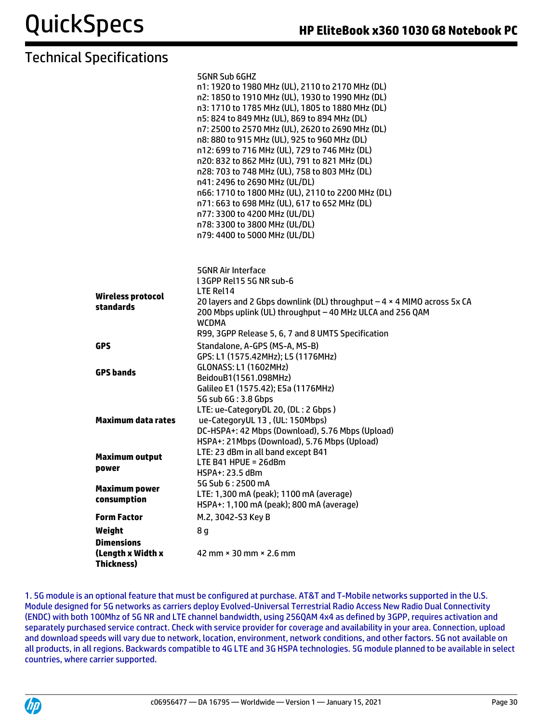|                                                             | 5GNR Sub 6GHZ<br>n1: 1920 to 1980 MHz (UL), 2110 to 2170 MHz (DL)<br>n2: 1850 to 1910 MHz (UL), 1930 to 1990 MHz (DL)<br>n3: 1710 to 1785 MHz (UL), 1805 to 1880 MHz (DL)<br>n5: 824 to 849 MHz (UL), 869 to 894 MHz (DL)<br>n7: 2500 to 2570 MHz (UL), 2620 to 2690 MHz (DL)<br>n8: 880 to 915 MHz (UL), 925 to 960 MHz (DL)<br>n12: 699 to 716 MHz (UL), 729 to 746 MHz (DL)<br>n20: 832 to 862 MHz (UL), 791 to 821 MHz (DL)<br>n28: 703 to 748 MHz (UL), 758 to 803 MHz (DL)<br>n41: 2496 to 2690 MHz (UL/DL)<br>n66: 1710 to 1800 MHz (UL), 2110 to 2200 MHz (DL)<br>n71: 663 to 698 MHz (UL), 617 to 652 MHz (DL)<br>n77: 3300 to 4200 MHz (UL/DL)<br>n78: 3300 to 3800 MHz (UL/DL)<br>n79: 4400 to 5000 MHz (UL/DL) |
|-------------------------------------------------------------|----------------------------------------------------------------------------------------------------------------------------------------------------------------------------------------------------------------------------------------------------------------------------------------------------------------------------------------------------------------------------------------------------------------------------------------------------------------------------------------------------------------------------------------------------------------------------------------------------------------------------------------------------------------------------------------------------------------------------|
| <b>Wireless protocol</b><br>standards                       | <b>5GNR Air Interface</b><br>L3GPP Rel15 5G NR sub-6<br>LTE Rel14<br>20 layers and 2 Gbps downlink (DL) throughput $-4 \times 4$ MIMO across 5x CA<br>200 Mbps uplink (UL) throughput - 40 MHz ULCA and 256 QAM<br><b>WCDMA</b><br>R99, 3GPP Release 5, 6, 7 and 8 UMTS Specification                                                                                                                                                                                                                                                                                                                                                                                                                                      |
| <b>GPS</b><br><b>GPS bands</b>                              | Standalone, A-GPS (MS-A, MS-B)<br>GPS: L1 (1575.42MHz); L5 (1176MHz)<br><b>GLONASS: L1 (1602MHz)</b><br>BeidouB1(1561.098MHz)<br>Galileo E1 (1575.42); E5a (1176MHz)                                                                                                                                                                                                                                                                                                                                                                                                                                                                                                                                                       |
| <b>Maximum data rates</b>                                   | 5G sub 6G: 3.8 Gbps<br>LTE: ue-CategoryDL 20, (DL: 2 Gbps)<br>ue-CategoryUL 13, (UL: 150Mbps)<br>DC-HSPA+: 42 Mbps (Download), 5.76 Mbps (Upload)<br>HSPA+: 21Mbps (Download), 5.76 Mbps (Upload)                                                                                                                                                                                                                                                                                                                                                                                                                                                                                                                          |
| <b>Maximum output</b><br>power                              | LTE: 23 dBm in all band except B41<br>LTE B41 HPUE = $26dBm$<br>HSPA+: 23.5 dBm                                                                                                                                                                                                                                                                                                                                                                                                                                                                                                                                                                                                                                            |
| <b>Maximum power</b><br>consumption                         | 5G Sub 6:2500 mA<br>LTE: 1,300 mA (peak); 1100 mA (average)<br>HSPA+: 1,100 mA (peak); 800 mA (average)                                                                                                                                                                                                                                                                                                                                                                                                                                                                                                                                                                                                                    |
| <b>Form Factor</b>                                          | M.2, 3042-S3 Key B                                                                                                                                                                                                                                                                                                                                                                                                                                                                                                                                                                                                                                                                                                         |
| Weight                                                      | 8 g                                                                                                                                                                                                                                                                                                                                                                                                                                                                                                                                                                                                                                                                                                                        |
| <b>Dimensions</b><br>(Length x Width x<br><b>Thickness)</b> | 42 mm × 30 mm × 2.6 mm                                                                                                                                                                                                                                                                                                                                                                                                                                                                                                                                                                                                                                                                                                     |

1. 5G module is an optional feature that must be configured at purchase. AT&T and T-Mobile networks supported in the U.S. Module designed for 5G networks as carriers deploy Evolved-Universal Terrestrial Radio Access New Radio Dual Connectivity (ENDC) with both 100Mhz of 5G NR and LTE channel bandwidth, using 256QAM 4x4 as defined by 3GPP, requires activation and separately purchased service contract. Check with service provider for coverage and availability in your area. Connection, upload and download speeds will vary due to network, location, environment, network conditions, and other factors. 5G not available on all products, in all regions. Backwards compatible to 4G LTE and 3G HSPA technologies. 5G module planned to be available in select countries, where carrier supported.

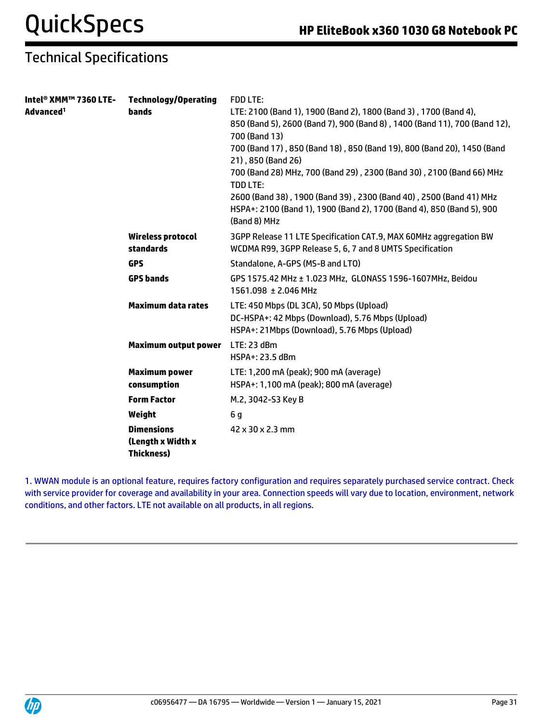| Intel® XMM™ 7360 LTE- | <b>Technology/Operating</b> | <b>FDD LTE:</b>                                                                         |
|-----------------------|-----------------------------|-----------------------------------------------------------------------------------------|
| Advanced <sup>1</sup> | <b>bands</b>                | LTE: 2100 (Band 1), 1900 (Band 2), 1800 (Band 3), 1700 (Band 4),                        |
|                       |                             | 850 (Band 5), 2600 (Band 7), 900 (Band 8), 1400 (Band 11), 700 (Band 12),               |
|                       |                             | 700 (Band 13)                                                                           |
|                       |                             | 700 (Band 17), 850 (Band 18), 850 (Band 19), 800 (Band 20), 1450 (Band                  |
|                       |                             | 21), 850 (Band 26)                                                                      |
|                       |                             | 700 (Band 28) MHz, 700 (Band 29), 2300 (Band 30), 2100 (Band 66) MHz<br><b>TDD LTE:</b> |
|                       |                             | 2600 (Band 38), 1900 (Band 39), 2300 (Band 40), 2500 (Band 41) MHz                      |
|                       |                             | HSPA+: 2100 (Band 1), 1900 (Band 2), 1700 (Band 4), 850 (Band 5), 900<br>(Band 8) MHz   |
|                       | Wireless protocol           | 3GPP Release 11 LTE Specification CAT.9, MAX 60MHz aggregation BW                       |
|                       | standards                   | WCDMA R99, 3GPP Release 5, 6, 7 and 8 UMTS Specification                                |
|                       | <b>GPS</b>                  | Standalone, A-GPS (MS-B and LTO)                                                        |
|                       | <b>GPS bands</b>            | GPS 1575.42 MHz ± 1.023 MHz, GLONASS 1596-1607MHz, Beidou                               |
|                       |                             | 1561.098 ± 2.046 MHz                                                                    |
|                       | <b>Maximum data rates</b>   | LTE: 450 Mbps (DL 3CA), 50 Mbps (Upload)                                                |
|                       |                             | DC-HSPA+: 42 Mbps (Download), 5.76 Mbps (Upload)                                        |
|                       |                             | HSPA+: 21 Mbps (Download), 5.76 Mbps (Upload)                                           |
|                       | <b>Maximum output power</b> | LTE: 23 dBm                                                                             |
|                       |                             | HSPA+: 23.5 dBm                                                                         |
|                       | <b>Maximum power</b>        | LTE: 1,200 mA (peak); 900 mA (average)                                                  |
|                       | consumption                 | HSPA+: 1,100 mA (peak); 800 mA (average)                                                |
|                       | <b>Form Factor</b>          | M.2, 3042-S3 Key B                                                                      |
|                       | Weight                      | 6 q                                                                                     |
|                       | <b>Dimensions</b>           | 42 x 30 x 2.3 mm                                                                        |
|                       | (Length x Width x           |                                                                                         |
|                       | <b>Thickness)</b>           |                                                                                         |

1. WWAN module is an optional feature, requires factory configuration and requires separately purchased service contract. Check with service provider for coverage and availability in your area. Connection speeds will vary due to location, environment, network conditions, and other factors. LTE not available on all products, in all regions.

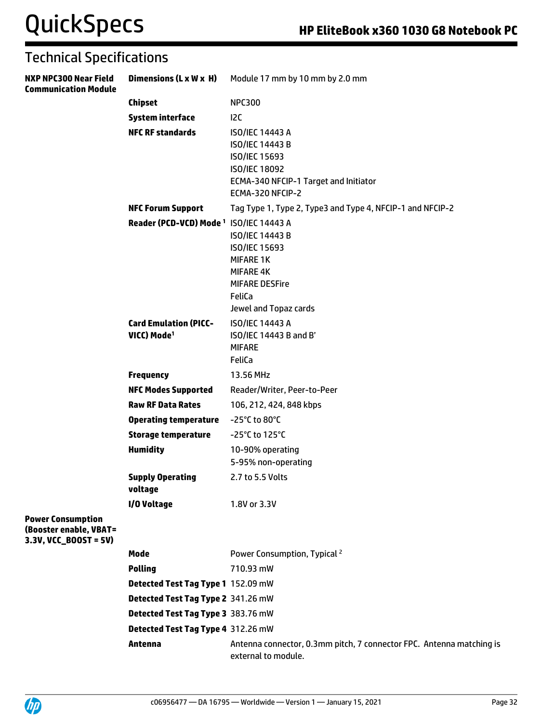# QuickSpecs **HP EliteBook x360 1030 G8 Notebook PC**

| <b>Technical Specifications</b>                                               |                                                         |                                                                                                                                                 |
|-------------------------------------------------------------------------------|---------------------------------------------------------|-------------------------------------------------------------------------------------------------------------------------------------------------|
| <b>NXP NPC300 Near Field</b><br><b>Communication Module</b>                   | Dimensions (L x W x H)                                  | Module 17 mm by 10 mm by 2.0 mm                                                                                                                 |
|                                                                               | <b>Chipset</b>                                          | <b>NPC300</b>                                                                                                                                   |
|                                                                               | <b>System interface</b>                                 | 12C                                                                                                                                             |
|                                                                               | <b>NFC RF standards</b>                                 | ISO/IEC 14443 A<br>ISO/IEC 14443 B<br><b>ISO/IEC 15693</b><br><b>ISO/IEC 18092</b><br>ECMA-340 NFCIP-1 Target and Initiator<br>ECMA-320 NFCIP-2 |
|                                                                               | <b>NFC Forum Support</b>                                | Tag Type 1, Type 2, Type3 and Type 4, NFCIP-1 and NFCIP-2                                                                                       |
|                                                                               | Reader (PCD-VCD) Mode <sup>1</sup> ISO/IEC 14443 A      | ISO/IEC 14443 B<br><b>ISO/IEC 15693</b><br><b>MIFARE 1K</b><br><b>MIFARE 4K</b><br><b>MIFARE DESFire</b><br>FeliCa<br>Jewel and Topaz cards     |
|                                                                               | <b>Card Emulation (PICC-</b><br>VICC) Mode <sup>1</sup> | ISO/IEC 14443 A<br>ISO/IEC 14443 B and B'<br><b>MIFARE</b><br>FeliCa                                                                            |
|                                                                               | <b>Frequency</b>                                        | 13.56 MHz                                                                                                                                       |
|                                                                               | <b>NFC Modes Supported</b>                              | Reader/Writer, Peer-to-Peer                                                                                                                     |
|                                                                               | <b>Raw RF Data Rates</b>                                | 106, 212, 424, 848 kbps                                                                                                                         |
|                                                                               | <b>Operating temperature</b>                            | -25°C to 80°C                                                                                                                                   |
|                                                                               | <b>Storage temperature</b>                              | -25°C to 125°C                                                                                                                                  |
|                                                                               | <b>Humidity</b>                                         | 10-90% operating<br>5-95% non-operating                                                                                                         |
|                                                                               | <b>Supply Operating</b><br>voltage                      | 2.7 to 5.5 Volts                                                                                                                                |
| <b>Power Consumption</b><br>(Booster enable, VBAT=<br>$3.3V, VCC_BOOST = 5V)$ | I/O Voltage                                             | 1.8V or 3.3V                                                                                                                                    |
|                                                                               | Mode                                                    | Power Consumption, Typical <sup>2</sup>                                                                                                         |
|                                                                               | <b>Polling</b>                                          | 710.93 mW                                                                                                                                       |
|                                                                               | Detected Test Tag Type 1 152.09 mW                      |                                                                                                                                                 |
|                                                                               | Detected Test Tag Type 2 341.26 mW                      |                                                                                                                                                 |
|                                                                               | Detected Test Tag Type 3 383.76 mW                      |                                                                                                                                                 |
|                                                                               | Detected Test Tag Type 4 312.26 mW                      |                                                                                                                                                 |
|                                                                               | Antenna                                                 | Antenna connector, 0.3mm pitch, 7 connector FPC. Antenna matching is<br>external to module.                                                     |
|                                                                               |                                                         |                                                                                                                                                 |

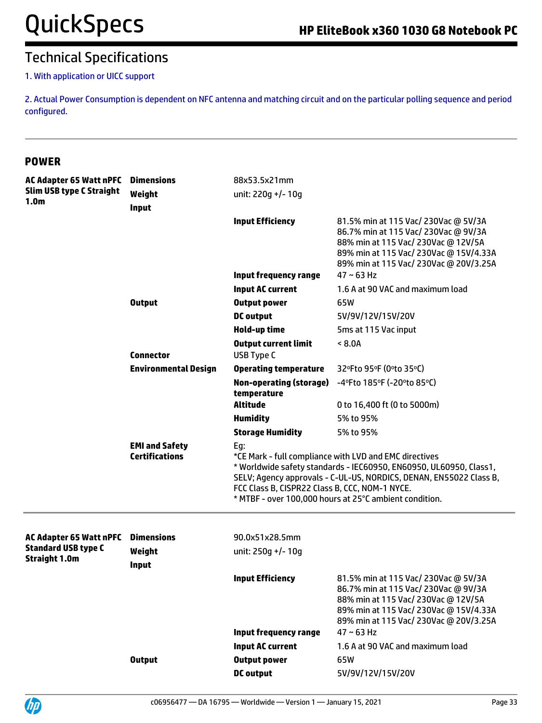#### 1. With application or UICC support

2. Actual Power Consumption is dependent on NFC antenna and matching circuit and on the particular polling sequence and period configured.

#### **POWER**

| <b>AC Adapter 65 Watt nPFC</b><br><b>Slim USB type C Straight</b> | <b>Dimensions</b><br>Weight                    | 88x53.5x21mm<br>unit: 220g +/- 10g                    |                                                                                                                                                                                                                                                              |
|-------------------------------------------------------------------|------------------------------------------------|-------------------------------------------------------|--------------------------------------------------------------------------------------------------------------------------------------------------------------------------------------------------------------------------------------------------------------|
| 1.0 <sub>m</sub>                                                  | <b>Input</b>                                   |                                                       |                                                                                                                                                                                                                                                              |
|                                                                   |                                                | <b>Input Efficiency</b>                               | 81.5% min at 115 Vac/ 230Vac @ 5V/3A<br>86.7% min at 115 Vac/ 230Vac @ 9V/3A<br>88% min at 115 Vac/ 230Vac @ 12V/5A<br>89% min at 115 Vac/ 230Vac @ 15V/4.33A<br>89% min at 115 Vac/ 230Vac @ 20V/3.25A                                                      |
|                                                                   |                                                | <b>Input frequency range</b>                          | $47 \sim 63$ Hz                                                                                                                                                                                                                                              |
|                                                                   |                                                | <b>Input AC current</b>                               | 1.6 A at 90 VAC and maximum load                                                                                                                                                                                                                             |
|                                                                   | <b>Output</b>                                  | <b>Output power</b>                                   | 65W                                                                                                                                                                                                                                                          |
|                                                                   |                                                | <b>DC</b> output                                      | 5V/9V/12V/15V/20V                                                                                                                                                                                                                                            |
|                                                                   |                                                | Hold-up time                                          | 5ms at 115 Vac input                                                                                                                                                                                                                                         |
|                                                                   | <b>Connector</b>                               | <b>Output current limit</b><br><b>USB Type C</b>      | < 8.0A                                                                                                                                                                                                                                                       |
|                                                                   | <b>Environmental Design</b>                    | <b>Operating temperature</b>                          | 32°Fto 95°F (0°to 35°C)                                                                                                                                                                                                                                      |
|                                                                   |                                                | <b>Non-operating (storage)</b><br>temperature         | -4°Fto 185°F (-20°to 85°C)                                                                                                                                                                                                                                   |
|                                                                   |                                                | <b>Altitude</b>                                       | 0 to 16,400 ft (0 to 5000m)                                                                                                                                                                                                                                  |
|                                                                   |                                                | <b>Humidity</b>                                       | 5% to 95%                                                                                                                                                                                                                                                    |
|                                                                   |                                                | <b>Storage Humidity</b>                               | 5% to 95%                                                                                                                                                                                                                                                    |
|                                                                   | <b>EMI and Safety</b><br><b>Certifications</b> | Eg:<br>FCC Class B, CISPR22 Class B, CCC, NOM-1 NYCE. | *CE Mark - full compliance with LVD and EMC directives<br>* Worldwide safety standards - IEC60950, EN60950, UL60950, Class1,<br>SELV; Agency approvals - C-UL-US, NORDICS, DENAN, EN55022 Class B,<br>* MTBF - over 100,000 hours at 25°C ambient condition. |
| <b>AC Adapter 65 Watt nPFC</b>                                    | <b>Dimensions</b>                              | 90.0x51x28.5mm                                        |                                                                                                                                                                                                                                                              |
| <b>Standard USB type C</b>                                        | Weight                                         | unit: 250g +/- 10g                                    |                                                                                                                                                                                                                                                              |
| <b>Straight 1.0m</b>                                              | Input                                          |                                                       |                                                                                                                                                                                                                                                              |
|                                                                   |                                                | <b>Input Efficiency</b>                               | 81.5% min at 115 Vac/ 230Vac @ 5V/3A<br>86.7% min at 115 Vac/ 230Vac @ 9V/3A<br>88% min at 115 Vac/ 230Vac @ 12V/5A<br>89% min at 115 Vac/ 230Vac @ 15V/4.33A<br>89% min at 115 Vac/ 230Vac @ 20V/3.25A                                                      |
|                                                                   |                                                | <b>Input frequency range</b>                          | $47 \sim 63$ Hz                                                                                                                                                                                                                                              |
|                                                                   |                                                | <b>Input AC current</b>                               | 1.6 A at 90 VAC and maximum load                                                                                                                                                                                                                             |
|                                                                   | <b>Output</b>                                  | <b>Output power</b>                                   | 65W                                                                                                                                                                                                                                                          |
|                                                                   |                                                | <b>DC</b> output                                      | 5V/9V/12V/15V/20V                                                                                                                                                                                                                                            |

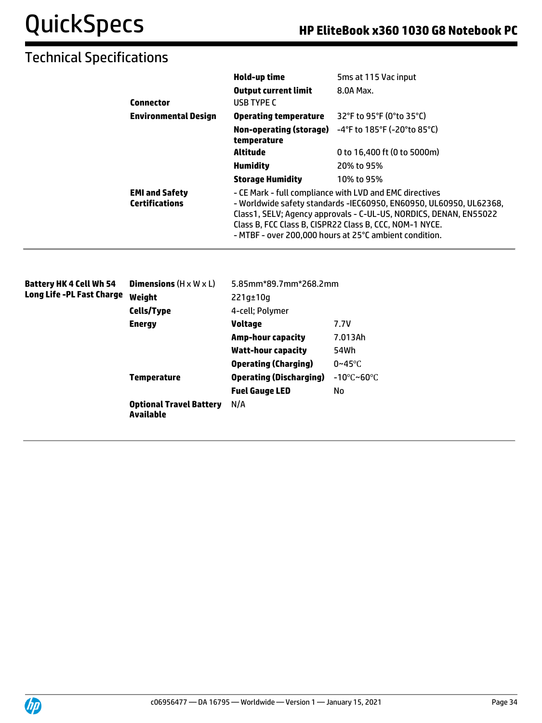|                                                | Hold-up time                                                                                                                                                                                                                                                                                                            | 5ms at 115 Vac input        |
|------------------------------------------------|-------------------------------------------------------------------------------------------------------------------------------------------------------------------------------------------------------------------------------------------------------------------------------------------------------------------------|-----------------------------|
| <b>Connector</b>                               | <b>Output current limit</b><br>USB TYPE C                                                                                                                                                                                                                                                                               | 8.0A Max.                   |
| <b>Environmental Design</b>                    | <b>Operating temperature</b>                                                                                                                                                                                                                                                                                            | 32°F to 95°F (0°to 35°C)    |
|                                                | Non-operating (storage)<br>temperature                                                                                                                                                                                                                                                                                  | -4°F to 185°F (-20°to 85°C) |
|                                                | Altitude                                                                                                                                                                                                                                                                                                                | 0 to 16,400 ft (0 to 5000m) |
|                                                | <b>Humidity</b>                                                                                                                                                                                                                                                                                                         | 20% to 95%                  |
|                                                | <b>Storage Humidity</b>                                                                                                                                                                                                                                                                                                 | 10% to 95%                  |
| <b>EMI and Safety</b><br><b>Certifications</b> | - CE Mark - full compliance with LVD and EMC directives<br>- Worldwide safety standards -IEC60950, EN60950, UL60950, UL62368,<br>Class1, SELV; Agency approvals - C-UL-US, NORDICS, DENAN, EN55022<br>Class B, FCC Class B, CISPR22 Class B, CCC, NOM-1 NYCE.<br>- MTBF - over 200,000 hours at 25°C ambient condition. |                             |

| Battery HK 4 Cell Wh 54   | <b>Dimensions</b> $(H \times W \times L)$   | 5.85mm*89.7mm*268.2mm          |                                 |
|---------------------------|---------------------------------------------|--------------------------------|---------------------------------|
| Long Life -PL Fast Charge | Weight                                      | $221q \pm 10q$                 |                                 |
|                           | <b>Cells/Type</b><br>4-cell; Polymer        |                                |                                 |
|                           | <b>Energy</b>                               | Voltage                        | 7.7V                            |
|                           |                                             | <b>Amp-hour capacity</b>       | 7.013Ah                         |
|                           |                                             | Watt-hour capacity             | 54Wh                            |
|                           |                                             | <b>Operating (Charging)</b>    | $0 \sim 45$ °C                  |
|                           | <b>Temperature</b>                          | <b>Operating (Discharging)</b> | $-10^{\circ}$ C~60 $^{\circ}$ C |
|                           |                                             | <b>Fuel Gauge LED</b>          | No                              |
|                           | <b>Optional Travel Battery</b><br>Available | N/A                            |                                 |
|                           |                                             |                                |                                 |

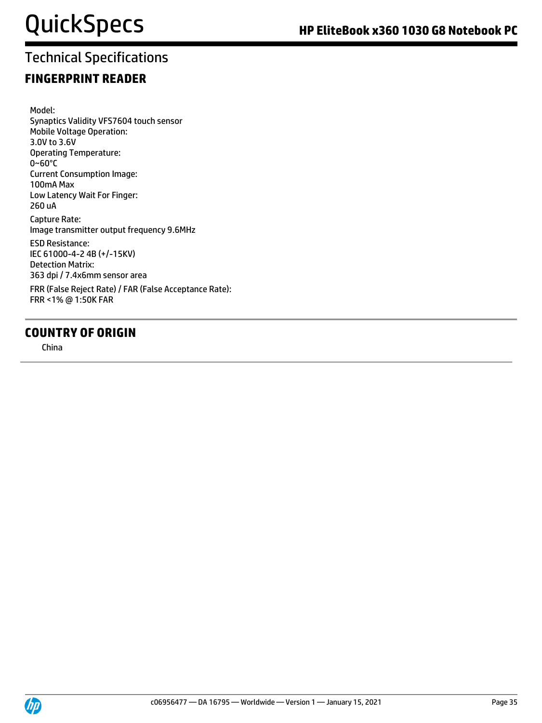### **FINGERPRINT READER**

Model: Synaptics Validity VFS7604 touch sensor Mobile Voltage Operation: 3.0V to 3.6V Operating Temperature: 0~60°C Current Consumption Image: 100mA Max Low Latency Wait For Finger: 260 uA Capture Rate: Image transmitter output frequency 9.6MHz ESD Resistance: IEC 61000-4-2 4B (+/-15KV) Detection Matrix: 363 dpi / 7.4x6mm sensor area FRR (False Reject Rate) / FAR (False Acceptance Rate): FRR <1% @ 1:50K FAR

#### **COUNTRY OF ORIGIN**

China

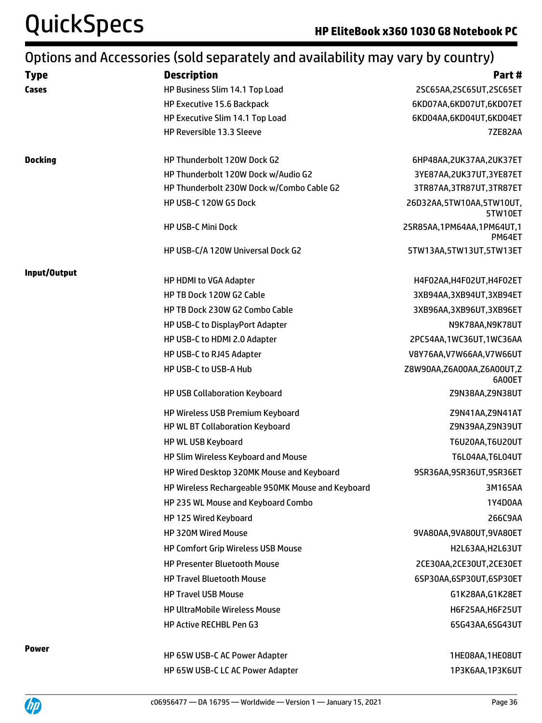# QuickSpecs **HP EliteBook x360 1030 G8 Notebook PC**

## Options and Accessories (sold separately and availability may vary by country)

| <b>Type</b>    | <b>Description</b>                                | Part#                               |
|----------------|---------------------------------------------------|-------------------------------------|
| Cases          | HP Business Slim 14.1 Top Load                    | 2SC65AA,2SC65UT,2SC65ET             |
|                | HP Executive 15.6 Backpack                        | 6KD07AA,6KD07UT,6KD07ET             |
|                | HP Executive Slim 14.1 Top Load                   | 6KD04AA,6KD04UT,6KD04ET             |
|                | HP Reversible 13.3 Sleeve                         | <b>7ZE82AA</b>                      |
| <b>Docking</b> | HP Thunderbolt 120W Dock G2                       | 6HP48AA, 2UK37AA, 2UK37ET           |
|                | HP Thunderbolt 120W Dock w/Audio G2               | 3YE87AA, 2UK37UT, 3YE87ET           |
|                | HP Thunderbolt 230W Dock w/Combo Cable G2         | 3TR87AA, 3TR87UT, 3TR87ET           |
|                | HP USB-C 120W G5 Dock                             | 26D32AA,5TW10AA,5TW10UT,<br>5TW10ET |
|                | <b>HP USB-C Mini Dock</b>                         | 2SR85AA,1PM64AA,1PM64UT,1<br>PM64ET |
|                | HP USB-C/A 120W Universal Dock G2                 | 5TW13AA,5TW13UT,5TW13ET             |
| Input/Output   | HP HDMI to VGA Adapter                            | H4F02AA, H4F02UT, H4F02ET           |
|                | HP TB Dock 120W G2 Cable                          | 3XB94AA,3XB94UT,3XB94ET             |
|                | HP TB Dock 230W G2 Combo Cable                    | 3XB96AA,3XB96UT,3XB96ET             |
|                | HP USB-C to DisplayPort Adapter                   | N9K78AA,N9K78UT                     |
|                | HP USB-C to HDMI 2.0 Adapter                      | 2PC54AA,1WC36UT,1WC36AA             |
|                | HP USB-C to RJ45 Adapter                          | V8Y76AA, V7W66AA, V7W66UT           |
|                | HP USB-C to USB-A Hub                             | Z8W90AA,Z6A00AA,Z6A00UT,Z<br>6A00ET |
|                | HP USB Collaboration Keyboard                     | Z9N38AA, Z9N38UT                    |
|                | HP Wireless USB Premium Keyboard                  | Z9N41AA, Z9N41AT                    |
|                | HP WL BT Collaboration Keyboard                   | Z9N39AA, Z9N39UT                    |
|                | HP WL USB Keyboard                                | <b>T6U20AA, T6U20UT</b>             |
|                | HP Slim Wireless Keyboard and Mouse               | T6L04AA, T6L04UT                    |
|                | HP Wired Desktop 320MK Mouse and Keyboard         | 9SR36AA,9SR36UT,9SR36ET             |
|                | HP Wireless Rechargeable 950MK Mouse and Keyboard | 3M165AA                             |
|                | HP 235 WL Mouse and Keyboard Combo                | 1Y4D0AA                             |
|                | HP 125 Wired Keyboard                             | 266C9AA                             |
|                | HP 320M Wired Mouse                               | 9VA80AA, 9VA80UT, 9VA80ET           |
|                | <b>HP Comfort Grip Wireless USB Mouse</b>         | H2L63AA,H2L63UT                     |
|                | <b>HP Presenter Bluetooth Mouse</b>               | 2CE30AA, 2CE30UT, 2CE30ET           |
|                | <b>HP Travel Bluetooth Mouse</b>                  | 6SP30AA,6SP30UT,6SP30ET             |
|                | <b>HP Travel USB Mouse</b>                        | G1K28AA, G1K28ET                    |
|                | <b>HP UltraMobile Wireless Mouse</b>              | H6F25AA, H6F25UT                    |
|                | HP Active RECHBL Pen G3                           | 6SG43AA,6SG43UT                     |
| <b>Power</b>   | HP 65W USB-C AC Power Adapter                     | 1HE08AA,1HE08UT                     |
|                | HP 65W USB-C LC AC Power Adapter                  | 1P3K6AA,1P3K6UT                     |

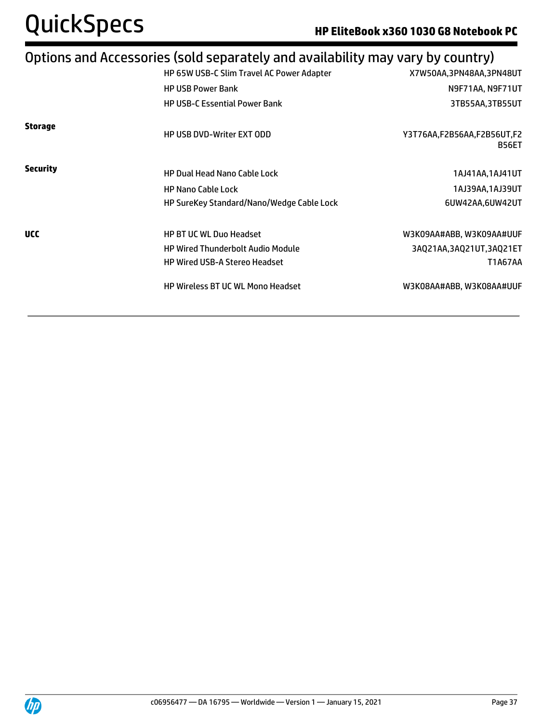# Options and Accessories (sold separately and availability may vary by country)

|                 | HP 65W USB-C Slim Travel AC Power Adapter | X7W50AA,3PN48AA,3PN48UT                    |
|-----------------|-------------------------------------------|--------------------------------------------|
|                 | <b>HP USB Power Bank</b>                  | N9F71AA, N9F71UT                           |
|                 | <b>HP USB-C Essential Power Bank</b>      | 3TB55AA,3TB55UT                            |
| <b>Storage</b>  | <b>HP USB DVD-Writer EXT ODD</b>          | Y3T76AA,F2B56AA,F2B56UT,F2<br><b>B56ET</b> |
| <b>Security</b> | <b>HP Dual Head Nano Cable Lock</b>       | 1AJ41AA,1AJ41UT                            |
|                 | <b>HP Nano Cable Lock</b>                 | 1AJ39AA,1AJ39UT                            |
|                 | HP SureKey Standard/Nano/Wedge Cable Lock | 6UW42AA,6UW42UT                            |
| <b>UCC</b>      | <b>HP BT UC WL Duo Headset</b>            | W3K09AA#ABB, W3K09AA#UUF                   |
|                 | <b>HP Wired Thunderbolt Audio Module</b>  | 3AQ21AA,3AQ21UT,3AQ21ET                    |
|                 | <b>HP Wired USB-A Stereo Headset</b>      | <b>T1A67AA</b>                             |
|                 | HP Wireless BT UC WL Mono Headset         | W3K08AA#ABB, W3K08AA#UUF                   |